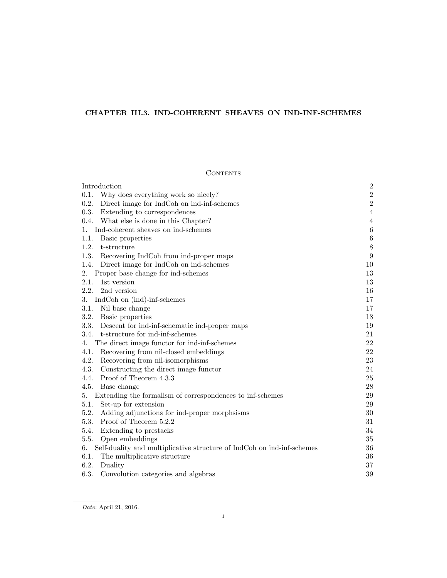# CHAPTER III.3. IND-COHERENT SHEAVES ON IND-INF-SCHEMES

# CONTENTS

| Introduction                                                                 | $\boldsymbol{2}$ |
|------------------------------------------------------------------------------|------------------|
| 0.1.<br>Why does everything work so nicely?                                  | $\sqrt{2}$       |
| Direct image for IndCoh on ind-inf-schemes<br>0.2.                           | $\,2$            |
| 0.3.<br>Extending to correspondences                                         | $\overline{4}$   |
| 0.4. What else is done in this Chapter?                                      | $\overline{4}$   |
| Ind-coherent sheaves on ind-schemes<br>1.                                    | $\,6\,$          |
| 1.1.<br>Basic properties                                                     | $\,6\,$          |
| 1.2.<br>t-structure                                                          | $8\,$            |
| 1.3.<br>Recovering IndCoh from ind-proper maps                               | $\boldsymbol{9}$ |
| 1.4.<br>Direct image for IndCoh on ind-schemes                               | 10               |
| 2.<br>Proper base change for ind-schemes                                     | 13               |
| 2.1.<br>1st version                                                          | 13               |
| 2.2.<br>2nd version                                                          | 16               |
| IndCoh on (ind)-inf-schemes<br>3.                                            | 17               |
| Nil base change<br>3.1.                                                      | 17               |
| 3.2. Basic properties                                                        | 18               |
| 3.3. Descent for ind-inf-schematic ind-proper maps                           | 19               |
| t-structure for ind-inf-schemes<br>3.4.                                      | 21               |
| The direct image functor for ind-inf-schemes<br>4.                           | 22               |
| Recovering from nil-closed embeddings<br>4.1.                                | 22               |
| 4.2.<br>Recovering from nil-isomorphisms                                     | 23               |
| 4.3.<br>Constructing the direct image functor                                | 24               |
| 4.4.<br>Proof of Theorem 4.3.3                                               | 25               |
| 4.5.<br>Base change                                                          | $28\,$           |
| Extending the formalism of correspondences to inf-schemes<br>5.              | $29\,$           |
| 5.1.<br>Set-up for extension                                                 | 29               |
| Adding adjunctions for ind-proper morphsisms<br>5.2.                         | 30               |
| 5.3.<br>Proof of Theorem 5.2.2                                               | 31               |
| 5.4.<br>Extending to prestacks                                               | 34               |
| 5.5.<br>Open embeddings                                                      | 35               |
| Self-duality and multiplicative structure of IndCoh on ind-inf-schemes<br>6. | 36               |
| 6.1.<br>The multiplicative structure                                         | 36               |
| 6.2.<br>Duality                                                              | $37\,$           |
| 6.3.<br>Convolution categories and algebras                                  | 39               |

Date: April 21, 2016.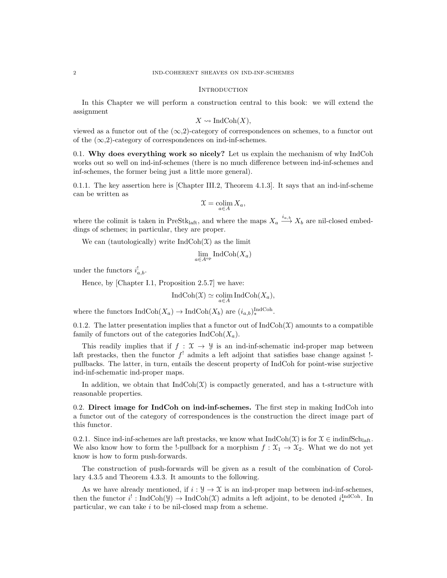#### **INTRODUCTION**

In this Chapter we will perform a construction central to this book: we will extend the assignment

$$
X \rightsquigarrow \text{IndCoh}(X),
$$

viewed as a functor out of the  $(\infty,2)$ -category of correspondences on schemes, to a functor out of the  $(\infty,2)$ -category of correspondences on ind-inf-schemes.

0.1. Why does everything work so nicely? Let us explain the mechanism of why IndCoh works out so well on ind-inf-schemes (there is no much difference between ind-inf-schemes and inf-schemes, the former being just a little more general).

0.1.1. The key assertion here is [Chapter III.2, Theorem 4.1.3]. It says that an ind-inf-scheme can be written as

$$
\mathfrak{X} = \operatornamewithlimits{colim}_{a \in A} X_a,
$$

where the colimit is taken in PreStk<sub>laft</sub>, and where the maps  $X_a \stackrel{i_{a,b}}{\longrightarrow} X_b$  are nil-closed embeddings of schemes; in particular, they are proper.

We can (tautologically) write  $IndCoh(\mathcal{X})$  as the limit

$$
\lim_{a \in A^{\rm op}} \mathrm{IndCoh}(X_a)
$$

under the functors  $i_{a,b}^!$ .

Hence, by [Chapter I.1, Proposition 2.5.7] we have:

$$
IndCoh(\mathfrak{X}) \simeq \underset{a \in A}{\text{colim}} IndCoh(X_a),
$$

where the functors  $\text{IndCoh}(X_a) \to \text{IndCoh}(X_b)$  are  $(i_{a,b})_*^{\text{IndCoh}}$ .

0.1.2. The latter presentation implies that a functor out of  $IndCoh(\mathcal{X})$  amounts to a compatible family of functors out of the categories  $\text{IndCoh}(X_a)$ .

This readily implies that if  $f : \mathcal{X} \to \mathcal{Y}$  is an ind-inf-schematic ind-proper map between laft prestacks, then the functor  $f^!$  admits a left adjoint that satisfies base change against  $!$ pullbacks. The latter, in turn, entails the descent property of IndCoh for point-wise surjective ind-inf-schematic ind-proper maps.

In addition, we obtain that  $IndCoh(\mathcal{X})$  is compactly generated, and has a t-structure with reasonable properties.

0.2. Direct image for IndCoh on ind-inf-schemes. The first step in making IndCoh into a functor out of the category of correspondences is the construction the direct image part of this functor.

0.2.1. Since ind-inf-schemes are laft prestacks, we know what  $IndCoh(\mathcal{X})$  is for  $\mathcal{X} \in \text{indinfSch}_{\text{latt}}$ . We also know how to form the !-pullback for a morphism  $f : \mathfrak{X}_1 \to \mathfrak{X}_2$ . What we do not yet know is how to form push-forwards.

The construction of push-forwards will be given as a result of the combination of Corollary 4.3.5 and Theorem 4.3.3. It amounts to the following.

As we have already mentioned, if  $i : \mathcal{Y} \to \mathcal{X}$  is an ind-proper map between ind-inf-schemes, then the functor  $i^! : \text{IndCoh}(\mathcal{Y}) \to \text{IndCoh}(\mathcal{X})$  admits a left adjoint, to be denoted  $i^{\text{IndCoh}}_*$ . In particular, we can take i to be nil-closed map from a scheme.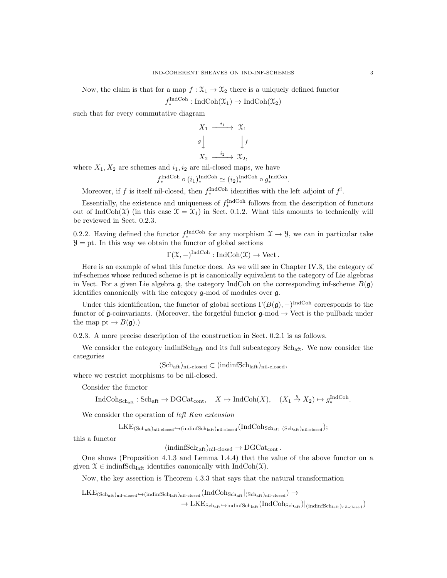Now, the claim is that for a map  $f: \mathfrak{X}_1 \to \mathfrak{X}_2$  there is a uniquely defined functor

$$
f_*^{\text{IndCoh}} : \text{IndCoh}(\mathfrak{X}_1) \to \text{IndCoh}(\mathfrak{X}_2)
$$

such that for every commutative diagram

$$
X_1 \xrightarrow{i_1} X_1
$$
  
\n
$$
g \downarrow \qquad \qquad \downarrow f
$$
  
\n
$$
X_2 \xrightarrow{i_2} X_2,
$$

where  $X_1, X_2$  are schemes and  $i_1, i_2$  are nil-closed maps, we have

$$
f_*^{\text{IndCoh}} \circ (i_1)_*^{\text{IndCoh}} \simeq (i_2)_*^{\text{IndCoh}} \circ g_*^{\text{IndCoh}}
$$

.

Moreover, if f is itself nil-closed, then  $f_*^{\text{IndCoh}}$  identifies with the left adjoint of  $f^!$ .

Essentially, the existence and uniqueness of  $f_*^{\text{IndCoh}}$  follows from the description of functors out of IndCoh(X) (in this case  $\mathfrak{X} = \mathfrak{X}_1$ ) in Sect. 0.1.2. What this amounts to technically will be reviewed in Sect. 0.2.3.

0.2.2. Having defined the functor  $f_*^{\text{IndCoh}}$  for any morphism  $\mathfrak{X} \to \mathcal{Y}$ , we can in particular take  $\mathcal{Y} =$  pt. In this way we obtain the functor of global sections

 $\Gamma(\mathfrak{X},-)^{\text{IndCoh}}: \text{IndCoh}(\mathfrak{X}) \to \text{Vect}.$ 

Here is an example of what this functor does. As we will see in Chapter IV.3, the category of inf-schemes whose reduced scheme is pt is canonically equivalent to the category of Lie algebras in Vect. For a given Lie algebra g, the category IndCoh on the corresponding inf-scheme  $B(\mathfrak{g})$ identifies canonically with the category g-mod of modules over g.

Under this identification, the functor of global sections  $\Gamma(B(\mathfrak{g}),-)^{\text{IndCoh}}$  corresponds to the functor of g-coinvariants. (Moreover, the forgetful functor  $g$ -mod  $\rightarrow$  Vect is the pullback under the map pt  $\rightarrow B(\mathfrak{g})$ .)

0.2.3. A more precise description of the construction in Sect. 0.2.1 is as follows.

We consider the category indinfSch<sub>laft</sub> and its full subcategory Sch<sub>aft</sub>. We now consider the categories

 $(\text{Sch}_{\text{aff}})_{\text{nil-closed}} \subset (\text{indinfSch}_{\text{leaf}})_{\text{nil-closed}},$ 

where we restrict morphisms to be nil-closed.

Consider the functor

 $\text{IndCoh}_{\text{Sch}_{\text{aff}}} : \text{Sch}_{\text{aff}} \to \text{DGCat}_{\text{cont}}, \quad X \mapsto \text{IndCoh}(X), \quad (X_1 \stackrel{g}{\to} X_2) \mapsto g_*^{\text{IndCoh}}.$ 

We consider the operation of *left Kan extension* 

 $\text{LKE}_{(\text{Sch}_{\text{aff}},)_{\text{nil-closed}} \leftrightarrow (\text{indinfSch}_{\text{laff}},)_{\text{nil-closed}} (\text{IndCoh}_{\text{Sch}_{\text{aff}}})_{(\text{Sch}_{\text{aff}},)_{\text{nil-closed}}});$ 

this a functor

 $(\text{indinfSch}_{\text{laff}})_{\text{nil-closed}} \to \text{DGCat}_{\text{cont}}$ .

One shows (Proposition 4.1.3 and Lemma 1.4.4) that the value of the above functor on a given  $\mathfrak{X} \in \text{indinfSch}_{\text{laft}}$  identifies canonically with  $\text{IndCoh}(\mathfrak{X})$ .

Now, the key assertion is Theorem 4.3.3 that says that the natural transformation

 $LKE_{(Sch_{\mathrm{aft}})_{\mathrm{nil-closed}} \hookrightarrow (indinfSch_{\mathrm{laft}})_{\mathrm{nil-closed}}}(IndCoh_{Sch_{\mathrm{aft}}}|_{(Sch_{\mathrm{aft}})_{\mathrm{nil-closed}}}) \rightarrow$ 

 $\rightarrow$  LKE<sub>Schaft</sub> $\leftrightarrow$ indinfSch<sub>laft</sub> (IndCoh<sub>Schaft</sub>)|(indinfSch<sub>laft</sub>)<sub>nil-closed</sub>)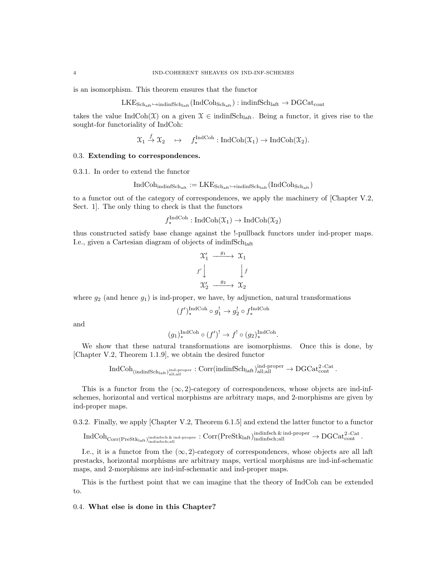is an isomorphism. This theorem ensures that the functor

 $LKE_{Sch_{aff}} \hookrightarrow$ indinfSch<sub>laft</sub> (IndCoh<sub>Schaft</sub>) : indinfSch<sub>laft</sub>  $\rightarrow$  DGCat<sub>cont</sub>

takes the value IndCoh( $\mathfrak{X}$ ) on a given  $\mathfrak{X} \in \text{indinfSch}_{\text{laff}}$ . Being a functor, it gives rise to the sought-for functoriality of IndCoh:

$$
\mathfrak{X}_1 \stackrel{f}{\to} \mathfrak{X}_2 \quad \mapsto \quad f_*^{\text{IndCoh}}: \text{IndCoh}(\mathfrak{X}_1) \to \text{IndCoh}(\mathfrak{X}_2).
$$

## 0.3. Extending to correspondences.

0.3.1. In order to extend the functor

$$
\mathrm{IndCoh}_{\mathrm{indinfSch}_{\mathrm{aft}}}:=\mathrm{LKE}_{\mathrm{Sch}_{\mathrm{aft}}}\oplus\mathrm{indinfSch}_{\mathrm{laft}}(\mathrm{IndCoh}_{\mathrm{Sch}_{\mathrm{aft}}})
$$

to a functor out of the category of correspondences, we apply the machinery of [Chapter V.2, Sect. 1]. The only thing to check is that the functors

$$
f_*^{\text{IndCoh}} : \text{IndCoh}(\mathfrak{X}_1) \to \text{IndCoh}(\mathfrak{X}_2)
$$

thus constructed satisfy base change against the !-pullback functors under ind-proper maps. I.e., given a Cartesian diagram of objects of indinfSchlaft

$$
\begin{array}{ccc}\n\mathfrak{X}'_1 & \xrightarrow{g_1} & \mathfrak{X}_1 \\
f' \downarrow & & \downarrow f \\
\mathfrak{X}'_2 & \xrightarrow{g_2} & \mathfrak{X}_2\n\end{array}
$$

where  $g_2$  (and hence  $g_1$ ) is ind-proper, we have, by adjunction, natural transformations

$$
(f')_*^{\operatorname{IndCoh}}\circ g_1^!\rightarrow g_2^!\circ f_*^{\operatorname{IndCoh}}
$$

and

$$
(g_1)_*^{\text{IndCoh}} \circ (f')^! \to f^! \circ (g_2)_*^{\text{IndCoh}}.
$$

We show that these natural transformations are isomorphisms. Once this is done, by [Chapter V.2, Theorem 1.1.9], we obtain the desired functor

$$
\operatorname{IndCoh}_{(\operatorname{indinfSch}_{\operatorname{laff}})_{\operatorname{all};\operatorname{all}}} \operatorname{Corr}(\operatorname{indinfSch}_{\operatorname{laff}})_{\operatorname{all};\operatorname{all}}^{\operatorname{ind-proper}} \to \operatorname{DGCat}_{\operatorname{cont}}^{2\text{-Cat}}.
$$

This is a functor from the  $(\infty, 2)$ -category of correspondences, whose objects are ind-infschemes, horizontal and vertical morphisms are arbitrary maps, and 2-morphisms are given by ind-proper maps.

0.3.2. Finally, we apply [Chapter V.2, Theorem 6.1.5] and extend the latter functor to a functor

$$
\operatorname{IndCoh}_{\operatorname{Corr}(\operatorname{PreStk}_{\operatorname{laff}},\operatorname{indimfsch},\operatorname{kill}}^{\operatorname{indimfsch},\operatorname{\'{e}}_{\operatorname{ind}}}\colon \operatorname{Corr}(\operatorname{PreStk}_{\operatorname{laff}})^{\operatorname{indimfsch},\operatorname{\'{e}}_{\operatorname{lind}}}\colon \operatorname{Indimfsch},\operatorname{Al}^{\operatorname{lag}}\to \operatorname{DGCat}_{\operatorname{cont}}^{2\text{-}\operatorname{Cat}}.
$$

I.e., it is a functor from the  $(\infty, 2)$ -category of correspondences, whose objects are all laft prestacks, horizontal morphisms are arbitrary maps, vertical morphisms are ind-inf-schematic maps, and 2-morphisms are ind-inf-schematic and ind-proper maps.

This is the furthest point that we can imagine that the theory of IndCoh can be extended to.

### 0.4. What else is done in this Chapter?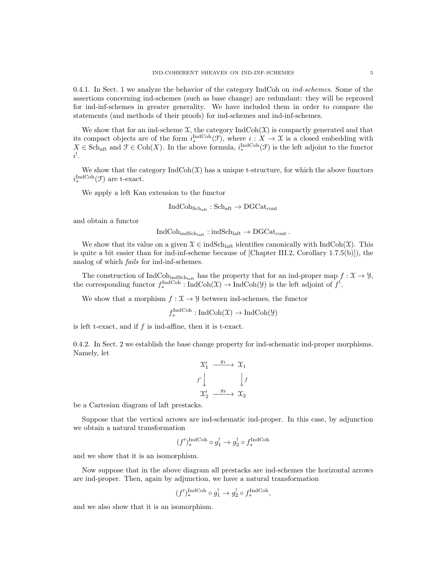0.4.1. In Sect. 1 we analyze the behavior of the category IndCoh on  $ind-schemes$ . Some of the assertions concerning ind-schemes (such as base change) are redundant: they will be reproved for ind-inf-schemes in greater generality. We have included them in order to compare the statements (and methods of their proofs) for ind-schemes and ind-inf-schemes.

We show that for an ind-scheme  $\mathfrak{X}$ , the category IndCoh( $\mathfrak{X}$ ) is compactly generated and that its compact objects are of the form  $i_*^{\text{IndCoh}}(\mathcal{F})$ , where  $i : X \to \mathcal{X}$  is a closed embedding with  $X \in \text{Sch}_{\text{aff}}$  and  $\mathcal{F} \in \text{Coh}(X)$ . In the above formula,  $i^{\text{IndCoh}}_*(\mathcal{F})$  is the left adjoint to the functor  $i^!$ .

We show that the category  $\text{IndCoh}(\mathcal{X})$  has a unique t-structure, for which the above functors  $i_*^{\text{IndCoh}}(\mathcal{F})$  are t-exact.

We apply a left Kan extension to the functor

$$
\text{IndCoh}_{\text{Sch}_{\text{aft}}} : \text{Sch}_{\text{aft}} \to \text{DGCat}_{\text{cont}}
$$

and obtain a functor

 $IndCoh<sub>indSch<sub>laff</sub></sub> : indSch<sub>laff</sub> \rightarrow DGCat<sub>cont</sub>$ .

We show that its value on a given  $\mathcal{X} \in \text{indSch}_{\text{laff}}$  identifies canonically with  $\text{IndCoh}(\mathcal{X})$ . This is quite a bit easier than for ind-inf-scheme because of [Chapter III.2, Corollary 1.7.5(b)]), the analog of which fails for ind-inf-schemes.

The construction of IndCoh<sub>indSchlaft</sub> has the property that for an ind-proper map  $f: \mathfrak{X} \to \mathcal{Y}$ , the corresponding functor  $f_*^{\text{IndCoh}} : \text{IndCoh}(\mathfrak{X}) \to \text{IndCoh}(\mathfrak{Y})$  is the left adjoint of  $f^!$ .

We show that a morphism  $f: \mathfrak{X} \to \mathcal{Y}$  between ind-schemes, the functor

 $f_*^{\text{IndCoh}}: \text{IndCoh}(\mathfrak{X}) \to \text{IndCoh}(\mathcal{Y})$ 

is left t-exact, and if f is ind-affine, then it is t-exact.

0.4.2. In Sect. 2 we establish the base change property for ind-schematic ind-proper morphisms. Namely, let

$$
\begin{array}{ccc}\n\mathfrak{X}'_1 & \xrightarrow{g_1} & \mathfrak{X}_1 \\
f' \downarrow & & \downarrow f \\
\mathfrak{X}'_2 & \xrightarrow{g_2} & \mathfrak{X}_2\n\end{array}
$$

be a Cartesian diagram of laft prestacks.

Suppose that the vertical arrows are ind-schematic ind-proper. In this case, by adjunction we obtain a natural transformation

$$
(f')_*^{\mathrm{IndCoh}}\circ g_1^!\rightarrow g_2^!\circ f_*^{\mathrm{IndCoh}}
$$

and we show that it is an isomorphism.

Now suppose that in the above diagram all prestacks are ind-schemes the horizontal arrows are ind-proper. Then, again by adjunction, we have a natural transformation

$$
(f')_*^{\text{IndCoh}} \circ g_1^! \to g_2^! \circ f_*^{\text{IndCoh}},
$$

and we also show that it is an isomorphism.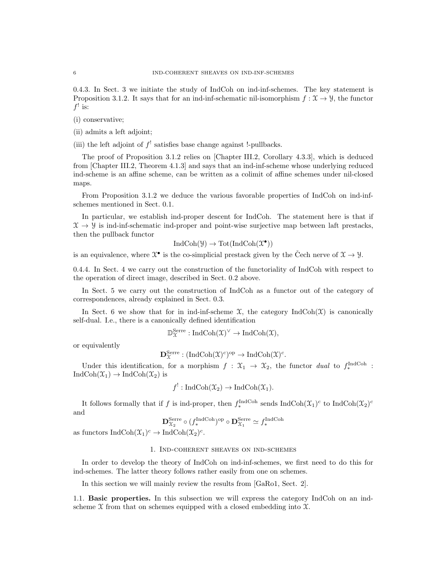0.4.3. In Sect. 3 we initiate the study of IndCoh on ind-inf-schemes. The key statement is Proposition 3.1.2. It says that for an ind-inf-schematic nil-isomorphism  $f: \mathcal{X} \to \mathcal{Y}$ , the functor  $f'$  is:

- (i) conservative;
- (ii) admits a left adjoint;

(iii) the left adjoint of  $f^!$  satisfies base change against !-pullbacks.

The proof of Proposition 3.1.2 relies on [Chapter III.2, Corollary 4.3.3], which is deduced from [Chapter III.2, Theorem 4.1.3] and says that an ind-inf-scheme whose underlying reduced ind-scheme is an affine scheme, can be written as a colimit of affine schemes under nil-closed maps.

From Proposition 3.1.2 we deduce the various favorable properties of IndCoh on ind-infschemes mentioned in Sect. 0.1.

In particular, we establish ind-proper descent for IndCoh. The statement here is that if  $\mathcal{X} \rightarrow \mathcal{Y}$  is ind-inf-schematic ind-proper and point-wise surjective map between laft prestacks, then the pullback functor

$$
\mathrm{IndCoh}(\mathcal{Y}) \to \mathrm{Tot}(\mathrm{IndCoh}(\mathcal{X}^\bullet))
$$

is an equivalence, where  $\mathfrak{X}^{\bullet}$  is the co-simplicial prestack given by the Čech nerve of  $\mathfrak{X} \to \mathcal{Y}$ .

0.4.4. In Sect. 4 we carry out the construction of the functoriality of IndCoh with respect to the operation of direct image, described in Sect. 0.2 above.

In Sect. 5 we carry out the construction of IndCoh as a functor out of the category of correspondences, already explained in Sect. 0.3.

In Sect. 6 we show that for in ind-inf-scheme  $\mathfrak{X}$ , the category IndCoh( $\mathfrak{X}$ ) is canonically self-dual. I.e., there is a canonically defined identification

$$
\mathbb{D}_{\mathfrak{X}}^{\mathrm{Serre}}:\mathrm{IndCoh}(\mathfrak{X})^\vee\rightarrow \mathrm{IndCoh}(\mathfrak{X}),
$$

or equivalently

$$
\mathbf{D}_{\mathfrak{X}}^{\mathrm{Serre}}: (\mathrm{IndCoh}(\mathfrak{X})^c)^{\mathrm{op}} \to \mathrm{IndCoh}(\mathfrak{X})^c.
$$

Under this identification, for a morphism  $f: \mathfrak{X}_1 \to \mathfrak{X}_2$ , the functor dual to  $f_*^{\text{IndCoh}}$ :  $IndCoh(\mathfrak{X}_1) \rightarrow IndCoh(\mathfrak{X}_2)$  is

$$
f^!: \text{IndCoh}(\mathfrak{X}_2) \to \text{IndCoh}(\mathfrak{X}_1).
$$

It follows formally that if f is ind-proper, then  $f_*^{\text{IndCoh}}$  sends  $\text{IndCoh}(\mathfrak{X}_1)^c$  to  $\text{IndCoh}(\mathfrak{X}_2)^c$ and

$$
\mathbf{D}_{\mathcal{X}_2}^{\text{Serre}} \circ (f_*^{\text{IndCoh}})^{\text{op}} \circ \mathbf{D}_{\mathcal{X}_1}^{\text{Serre}} \simeq f_*^{\text{IndCoh}}
$$

as functors  $\text{IndCoh}(\mathfrak{X}_1)^c \to \text{IndCoh}(\mathfrak{X}_2)^c$ .

#### 1. Ind-coherent sheaves on ind-schemes

In order to develop the theory of IndCoh on ind-inf-schemes, we first need to do this for ind-schemes. The latter theory follows rather easily from one on schemes.

In this section we will mainly review the results from [GaRo1, Sect. 2].

1.1. Basic properties. In this subsection we will express the category IndCoh on an indscheme  $\mathfrak X$  from that on schemes equipped with a closed embedding into  $\mathfrak X$ .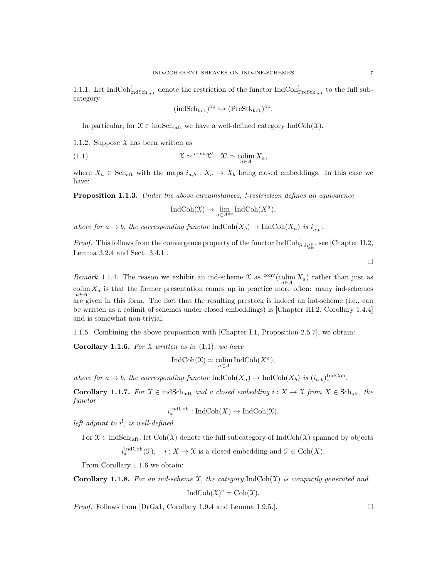1.1.1. Let IndCoh $_{\text{indSch}_{\text{left}}}^!$  denote the restriction of the functor IndCoh $_{\text{PreStk}_{\text{left}}}^!$  to the full subcategory

$$
(\mathrm{indSch}_{\mathrm{laff}})^{\mathrm{op}} \hookrightarrow (\mathrm{PreStk}_{\mathrm{laff}})^{\mathrm{op}}.
$$

In particular, for  $\mathfrak{X} \in \text{indSch}_{\text{laft}}$  we have a well-defined category IndCoh(X).

1.1.2. Suppose  $\mathfrak X$  has been written as

(1.1) 
$$
\mathfrak{X} \simeq \text{conv}\,\mathfrak{X}' \quad \mathfrak{X}' \simeq \text{colim}_{a \in A} X_a,
$$

where  $X_a \in Sch_{\text{aff}}$  with the maps  $i_{a,b} : X_a \to X_b$  being closed embeddings. In this case we have:

Proposition 1.1.3. Under the above circumstances, !-restriction defines an equivalence

$$
\operatorname{IndCoh}(\mathfrak{X}) \to \lim_{a \in A^{\rm op}} \operatorname{IndCoh}(X^a),
$$

where for  $a \to b$ , the corresponding functor  $\text{IndCoh}(X_b) \to \text{IndCoh}(X_a)$  is  $i^!_{a,b}$ .

*Proof.* This follows from the convergence property of the functor  $IndCoh_{Schaff}^!$ , see [Chapter II.2, Lemma 3.2.4 and Sect. 3.4.1].

 $\Box$ 

Remark 1.1.4. The reason we exhibit an ind-scheme  $\mathfrak X$  as  $\frac{\text{conv}}{a \in A}$  as  $\frac{\text{conv}}{a \in A}$  rather than just as colim  $X_a$  is that the former presentation comes up in practice more often: many ind-schemes a∈A are given in this form. The fact that the resulting prestack is indeed an ind-scheme (i.e., can be written as a colimit of schemes under closed embeddings) is [Chapter III.2, Corollary 1.4.4] and is somewhat non-trivial.

1.1.5. Combining the above proposition with [Chapter I.1, Proposition 2.5.7], we obtain:

**Corollary 1.1.6.** For  $\mathfrak X$  written as in (1.1), we have

$$
IndCoh(\mathfrak{X}) \simeq \underset{a \in A}{\text{colim}} IndCoh(X^a),
$$

where for  $a \to b$ , the corresponding functor  $\text{IndCoh}(X_a) \to \text{IndCoh}(X_b)$  is  $(i_{a,b})_*^{\text{IndCoh}}$ .

Corollary 1.1.7. For  $X \in \text{indSch}_{\text{laff}}$  and a closed embedding  $i: X \to X$  from  $X \in \text{Sch}_{\text{aff}}$ , the functor

$$
i^{\text{IndCoh}}_* : \text{IndCoh}(X) \to \text{IndCoh}(\mathfrak{X}),
$$

left adjoint to  $i^!,$  is well-defined.

For  $\mathfrak{X} \in \text{indSch}_{\text{laff}}$ , let  $\text{Coh}(\mathfrak{X})$  denote the full subcategory of  $\text{IndCoh}(\mathfrak{X})$  spanned by objects  $i_{*}^{\text{IndCoh}}(\mathcal{F}), \quad i: X \to \mathcal{X}$  is a closed embedding and  $\mathcal{F} \in \text{Coh}(X)$ .

From Corollary 1.1.6 we obtain:

**Corollary 1.1.8.** For an ind-scheme X, the category  $\text{IndCoh}(\mathcal{X})$  is compactly generated and

$$
IndCoh(\mathfrak{X})^c = Coh(\mathfrak{X}).
$$

*Proof.* Follows from [DrGa1, Corollary 1.9.4 and Lemma 1.9.5.].  $\Box$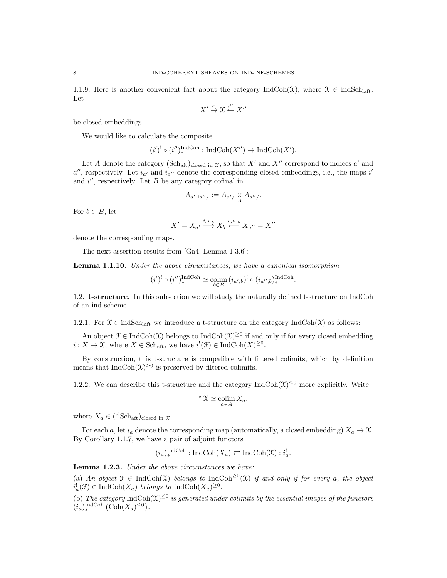1.1.9. Here is another convenient fact about the category IndCoh( $\mathfrak{X}$ ), where  $\mathfrak{X} \in \text{indSch}_{\text{laff}}$ . Let

$$
X' \stackrel{i'}{\to} \mathfrak{X} \stackrel{i''}{\leftarrow} X''
$$

be closed embeddings.

We would like to calculate the composite

$$
(i')^! \circ (i'')^{\text{IndCoh}}_* : \text{IndCoh}(X'') \to \text{IndCoh}(X').
$$

 $\overline{1}$   $\overline{1}$ 

Let A denote the category  $(\text{Sch}_{\text{aff}})_{\text{closed in } X}$ , so that X' and X'' correspond to indices a' and  $a''$ , respectively. Let  $i_{a'}$  and  $i_{a''}$  denote the corresponding closed embeddings, i.e., the maps i' and  $i''$ , respectively. Let  $B$  be any category cofinal in

$$
A_{a'\sqcup a''}/:=A_{a'}/\underset{A}{\times}A_{a''}/.
$$

For  $b \in B$ , let

$$
X'=X_{a'}\stackrel{i_{a',b}}{\longrightarrow} X_b\stackrel{i_{a'',b}}{\longleftarrow} X_{a''}=X''
$$

denote the corresponding maps.

The next assertion results from [Ga4, Lemma 1.3.6]:

**Lemma 1.1.10.** Under the above circumstances, we have a canonical isomorphism

$$
(i')^! \circ (i'')^{\text{IndCoh}}_* \simeq \mathop{\text{colim}}\limits_{b \in B} \left( i_{a',b} \right)^! \circ (i_{a'',b})^{\text{IndCoh}}_*.
$$

1.2. t-structure. In this subsection we will study the naturally defined t-structure on IndCoh of an ind-scheme.

1.2.1. For  $\mathfrak{X} \in \text{indSch}_{\text{laff}}$  we introduce a t-structure on the category  $\text{IndCoh}(\mathfrak{X})$  as follows:

An object  $\mathcal{F} \in \text{IndCoh}(\mathcal{X})$  belongs to  $\text{IndCoh}(\mathcal{X})^{\geq 0}$  if and only if for every closed embedding  $i: X \to \mathfrak{X}$ , where  $X \in \text{Sch}_{\text{aff}}$ , we have  $i^{!}(\mathfrak{F}) \in \text{IndCoh}(X)^{\geq 0}$ .

By construction, this t-structure is compatible with filtered colimits, which by definition means that  $\text{IndCoh}(\mathfrak{X})^{\geq 0}$  is preserved by filtered colimits.

1.2.2. We can describe this t-structure and the category  $\text{IndCoh}(\mathfrak{X})^{\leq 0}$  more explicitly. Write

$$
{}^{\mathrm{cl}}\mathfrak{X} \simeq \operatornamewithlimits{colim}_{a \in A} X_a,
$$

where  $X_a \in {\text{c}^{\text{cl}}\text{Sch}}_{\text{aff}}$ ) closed in  $\mathfrak{X}$ .

For each a, let  $i_a$  denote the corresponding map (automatically, a closed embedding)  $X_a \to \mathfrak{X}$ . By Corollary 1.1.7, we have a pair of adjoint functors

$$
(i_a)_*^{\text{IndCoh}} : \text{IndCoh}(X_a) \rightleftarrows \text{IndCoh}(\mathfrak{X}) : i_a^!
$$

Lemma 1.2.3. Under the above circumstances we have:

(a) An object  $\mathcal{F} \in \text{IndCoh}(\mathcal{X})$  belongs to  $\text{IndCoh}^{\geq 0}(\mathcal{X})$  if and only if for every a, the object  $i_a^! (\mathcal{F}) \in \text{IndCoh}(X_a)$  belongs to  $\text{IndCoh}(X_a)^{\geq 0}$ .

(b) The category IndCoh $(\mathfrak{X})^{\leq 0}$  is generated under colimits by the essential images of the functors  $(i_a)_*^{\text{IndCoh}} (\text{Coh}(X_a)^{\leq 0}).$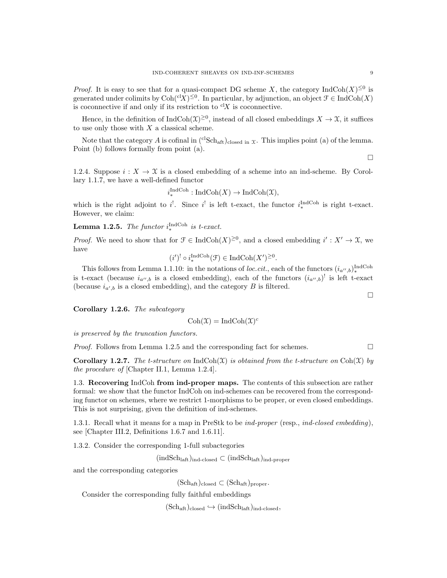*Proof.* It is easy to see that for a quasi-compact DG scheme X, the category  $\text{IndCoh}(X)^{\leq 0}$  is generated under colimits by  $\text{Coh}^{cl}(X)^{\leq 0}$ . In particular, by adjunction, an object  $\mathcal{F} \in \text{IndCoh}(X)$ is coconnective if and only if its restriction to  ${}^{cl}X$  is coconnective.

Hence, in the definition of  $IndCoh(\mathfrak{X})^{\geq 0}$ , instead of all closed embeddings  $X \to \mathfrak{X}$ , it suffices to use only those with  $X$  a classical scheme.

Note that the category A is cofinal in  $({}^{cl}Sch_{aff})_{closed\ in\ \mathcal{X}}$ . This implies point (a) of the lemma. Point (b) follows formally from point (a).

1.2.4. Suppose  $i: X \to \mathfrak{X}$  is a closed embedding of a scheme into an ind-scheme. By Corollary 1.1.7, we have a well-defined functor

$$
i_*^{\operatorname{IndCoh}}: \operatorname{IndCoh}(X) \to \operatorname{IndCoh}(\mathfrak{X}),
$$

which is the right adjoint to  $i^!$ . Since  $i^!$  is left t-exact, the functor  $i^{\text{IndCoh}}_*$  is right t-exact. However, we claim:

**Lemma 1.2.5.** The functor  $i_{\ast}^{\text{IndCoh}}$  is t-exact.

*Proof.* We need to show that for  $\mathcal{F} \in \text{IndCoh}(X)^{\geq 0}$ , and a closed embedding  $i' : X' \to \mathcal{X}$ , we have

$$
(i')^! \circ i_*^{\text{IndCoh}}(\mathcal{F}) \in \text{IndCoh}(X')^{\geq 0}.
$$

This follows from Lemma 1.1.10: in the notations of loc.cit., each of the functors  $(i_{a'',b})_*^{\text{IndCoh}}$ is t-exact (because  $i_{a'',b}$  is a closed embedding), each of the functors  $(i_{a'',b})^!$  is left t-exact (because  $i_{a',b}$  is a closed embedding), and the category B is filtered.

Corollary 1.2.6. The subcategory

$$
Coh(\mathfrak{X}) = IndCoh(\mathfrak{X})^c
$$

is preserved by the truncation functors.

*Proof.* Follows from Lemma 1.2.5 and the corresponding fact for schemes.  $\square$ 

**Corollary 1.2.7.** The t-structure on IndCoh(X) is obtained from the t-structure on Coh(X) by the procedure of [Chapter II.1, Lemma 1.2.4].

1.3. Recovering IndCoh from ind-proper maps. The contents of this subsection are rather formal: we show that the functor IndCoh on ind-schemes can be recovered from the corresponding functor on schemes, where we restrict 1-morphisms to be proper, or even closed embeddings. This is not surprising, given the definition of ind-schemes.

1.3.1. Recall what it means for a map in PreStk to be ind-proper (resp., ind-closed embedding), see [Chapter III.2, Definitions 1.6.7 and 1.6.11].

1.3.2. Consider the corresponding 1-full subactegories

 $(\text{indSch}_{\text{laff}})_{\text{ind-closed}} \subset (\text{indSch}_{\text{laff}})_{\text{ind-proper}}$ 

and the corresponding categories

 $(\text{Sch}_{\text{aff}})_{\text{closed}} \subset (\text{Sch}_{\text{aff}})_{\text{proper}}.$ 

Consider the corresponding fully faithful embeddings

 $(Sch<sub>aff</sub>)<sub>closed</sub> \hookrightarrow (indSch<sub>laff</sub>)<sub>ind-closed</sub>$ ,

 $\Box$ 

 $\Box$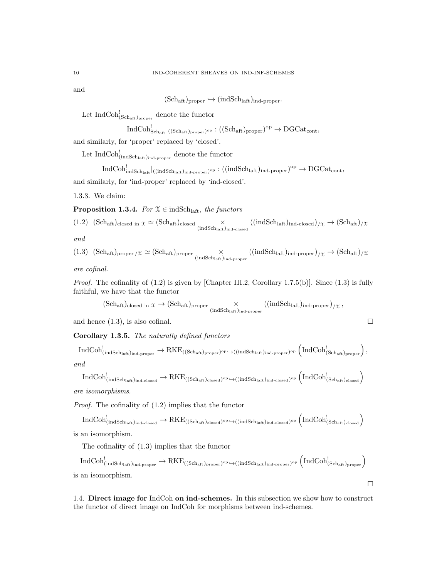and

 $(Sch_{\text{aft}})_{\text{proper}} \hookrightarrow (\text{indSch}_{\text{laft}})_{\text{ind-proper}}.$ 

Let  $\text{IndCoh}_{(\text{Sch}_{\text{aff}})_{\text{proper}}}^!$  denote the functor

$$
\operatorname{IndCoh}^!_{\operatorname{Sch}_{\operatorname{aft}}}|_{((\operatorname{Sch}_{\operatorname{aft}})_{\operatorname{proper}})^{\operatorname{op}}} : ((\operatorname{Sch}_{\operatorname{aft}})_{\operatorname{proper}})^{\operatorname{op}} \to \operatorname{DGCat}_{\operatorname{cont}},
$$

and similarly, for 'proper' replaced by 'closed'.

Let  $\mathrm{IndCoh}^!_{(\mathrm{indSch}_\mathrm{laff})_{\mathrm{ind-preper}}}$  denote the functor

 $\mathrm{IndCoh}_{\mathrm{indSch}_{\mathrm{laff}}}|_{\mathrm{(indSch}_{\mathrm{laff}},)_{\mathrm{ind}\text{-proper}}}\mathrm{_{op}:((indSch}_{\mathrm{laff}})_{\mathrm{ind}\text{-proper}})^{\mathrm{op}}\to \mathrm{DGCat}_{\mathrm{cont}},$ and similarly, for 'ind-proper' replaced by 'ind-closed'.

1.3.3. We claim:

**Proposition 1.3.4.** For  $\mathfrak{X} \in \text{indSch}_{\text{laff}}$ , the functors

$$
(1.2) (Sch_{\text{aft}})_{\text{closed in }\mathcal{X}} \simeq (Sch_{\text{aft}})_{\text{closed}} \times ((indSch_{\text{aft}})_{\text{ind-closed}})_{/\mathcal{X}} \rightarrow (Sch_{\text{aft}})_{/\mathcal{X}}
$$

and

$$
(1.3) (Sch_{aft})_{proper/x} \simeq (Sch_{aft})_{proper} \times (indSch_{aft})_{ind\textrm{-}proper} ((indSch_{laff})_{ind\textrm{-}proper})_{/x} \rightarrow (Sch_{aft})_{/x}
$$

are cofinal.

*Proof.* The cofinality of  $(1.2)$  is given by [Chapter III.2, Corollary 1.7.5(b)]. Since  $(1.3)$  is fully faithful, we have that the functor

$$
(Sch_{aft})_{closed\ in}\ \mathfrak{X} \rightarrow (Sch_{aft})_{proper} \underset{(indSch_{laff})_{ind\textrm{-}proper}}{\times} ((indSch_{laff})_{ind\textrm{-}proper})_{/\mathfrak{X}}\,,
$$

and hence  $(1.3)$ , is also cofinal.

Corollary 1.3.5. The naturally defined functors

$$
\mathrm{IndCoh}^!_{(\mathrm{indSch}_{\mathrm{laff}})_{\mathrm{ind}\text{-proper}}}\to \mathrm{RKE}_{((\mathrm{Sch}_{\mathrm{aff}})_{\mathrm{proper}})^{\mathrm{op}}\hookrightarrow((\mathrm{indSch}_{\mathrm{laff}})_{\mathrm{ind}\text{-proper}})^{\mathrm{op}}}\left(\mathrm{IndCoh}^!_{(\mathrm{Sch}_{\mathrm{aff}})_{\mathrm{proper}}}\right),
$$

and

$$
\mathrm{IndCoh}^!_{(\mathrm{indSch}_{\mathrm{laff}})_{\mathrm{ind-closed}}}\to \mathrm{RKE}_{((\mathrm{Sch}_{\mathrm{aff}})_{\mathrm{closed}})^{\mathrm{op}}\hookrightarrow((\mathrm{indSch}_{\mathrm{laff}})_{\mathrm{ind-closed}})^{\mathrm{op}}}\left(\mathrm{IndCoh}^!_{(\mathrm{Sch}_{\mathrm{aff}})_{\mathrm{closed}}}\right)
$$
 are isomorphisms.

Proof. The cofinality of (1.2) implies that the functor

 $\mathrm{IndCoh}_{(\mathrm{indSch}_\mathrm{laff})_{\mathrm{ind-closed}}^!}\to \mathrm{RKE}_{((\mathrm{Sch}_\mathrm{aff})_{\mathrm{closed}})^{\mathrm{op}}\leftrightarrow((\mathrm{indSch}_\mathrm{laff})_{\mathrm{ind-closed}})^{\mathrm{op}}}\left(\mathrm{IndCoh}_{(\mathrm{Sch}_\mathrm{aff})_{\mathrm{closed}}}\right)$ is an isomorphism.

The cofinality of (1.3) implies that the functor

$$
\mathrm{IndCoh}^!_{(\mathrm{indSch}_{\mathrm{laff}})_{\mathrm{ind}\text{-proper}}}\to \mathrm{RKE}_{((\mathrm{Sch}_{\mathrm{aff}})_{\mathrm{proper}})^\mathrm{op}\hookrightarrow((\mathrm{indSch}_{\mathrm{laff}})_{\mathrm{ind}\text{-proper}})^\mathrm{op}}\left(\mathrm{IndCoh}^!_{(\mathrm{Sch}_{\mathrm{aff}})_{\mathrm{proper}}}\right)
$$
is an isomorphism.

 $\Box$ 

1.4. Direct image for IndCoh on ind-schemes. In this subsection we show how to construct the functor of direct image on IndCoh for morphisms between ind-schemes.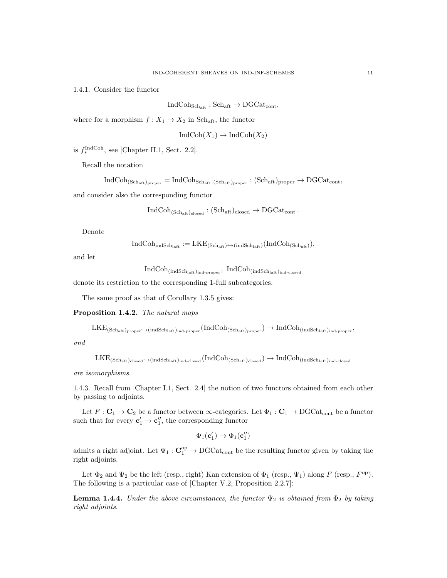1.4.1. Consider the functor

 $IndCoh<sub>Sch<sub>aff</sub></sub> : Sch<sub>aff</sub> \rightarrow DGCat<sub>cont</sub>$ 

where for a morphism  $f: X_1 \to X_2$  in Sch<sub>aft</sub>, the functor

$$
IndCoh(X_1) \to IndCoh(X_2)
$$

is  $f_*^{\text{IndCoh}}$ , see [Chapter II.1, Sect. 2.2].

Recall the notation

 $\text{IndCoh}_{(\text{Sch}_{\text{aff}})_{\text{proper}}} = \text{IndCoh}_{\text{Sch}_{\text{aff}}}|_{(\text{Sch}_{\text{aff}})_{\text{proper}}} : (\text{Sch}_{\text{aff}})_{\text{proper}} \to \text{DGCat}_{\text{cont}},$ 

and consider also the corresponding functor

$$
\operatorname{IndCoh}_{(\mathbf{Sch}_{\mathrm{aff}})_{\mathrm{closed}}} : (\mathbf{Sch}_{\mathrm{aff}})_{\mathrm{closed}} \to \operatorname{DGCat}_{\mathrm{cont}}.
$$

Denote

$$
IndCoh_{indSchlaff}: = LKE_{(Schaff) \hookrightarrow (indSchlaff)}(IndCoh_{(Schaff)}),
$$

and let

$$
\operatorname{IndCoh}_{(\operatorname{indSch}_{\operatorname{laff}})_{\operatorname{ind-preper}}}, \ \operatorname{IndCoh}_{(\operatorname{indSch}_{\operatorname{laff}})_{\operatorname{ind-closed}}}
$$

denote its restriction to the corresponding 1-full subcategories.

The same proof as that of Corollary 1.3.5 gives:

## Proposition 1.4.2. The natural maps

 $\text{LKE}_{(\text{Sch}_\text{aff})_{\text{proper}}} \to$ (indSch<sub>laft)ind-proper</sub>  $(\text{IndCoh}_{(\text{Sch}_\text{aff})_{\text{proper}}}) \to \text{IndCoh}_{(\text{indSch}_\text{leaf})_{\text{ind-proper}}},$ 

and

```
LKE_{(Sch_{aff})_{closed}\hookrightarrow (indSch_{laff})_{ind-closed}}(IndCoh_{(Sch_{aff})_{closed}})\rightarrow IndCoh_{(indSch_{laff})_{ind-closed}}
```
are isomorphisms.

1.4.3. Recall from [Chapter I.1, Sect. 2.4] the notion of two functors obtained from each other by passing to adjoints.

Let  $F: \mathbf{C}_1 \to \mathbf{C}_2$  be a functor between  $\infty$ -categories. Let  $\Phi_1: \mathbf{C}_1 \to \mathrm{DGCat}_{cont}$  be a functor such that for every  $\mathbf{c}'_1 \to \mathbf{c}''_1$ , the corresponding functor

$$
\Phi_1(\mathbf{c}'_1) \to \Phi_1(\mathbf{c}''_1)
$$

admits a right adjoint. Let  $\Psi_1: \mathbf{C}_1^{\mathrm{op}} \to \mathrm{DGCat}_{\mathrm{cont}}$  be the resulting functor given by taking the right adjoints.

Let  $\Phi_2$  and  $\Psi_2$  be the left (resp., right) Kan extension of  $\Phi_1$  (resp.,  $\Psi_1$ ) along F (resp.,  $F^{\rm op}$ ). The following is a particular case of [Chapter V.2, Proposition 2.2.7]:

**Lemma 1.4.4.** Under the above circumstances, the functor  $\Psi_2$  is obtained from  $\Phi_2$  by taking right adjoints.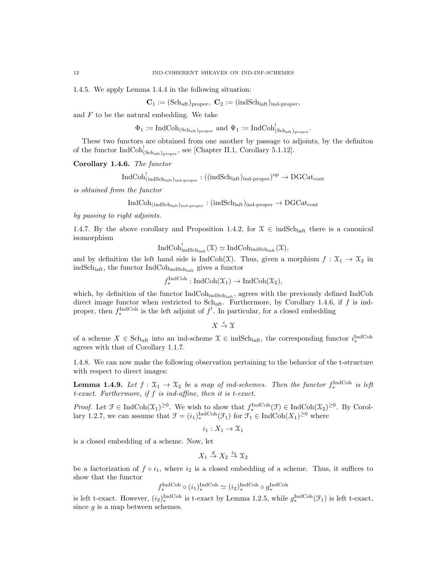1.4.5. We apply Lemma 1.4.4 in the following situation:

 $C_1 := (Sch_{\text{aff}})_{\text{proper}}, C_2 := (indSch_{\text{laff}})_{\text{ind-proper}},$ 

and  $\cal F$  to be the natural embedding. We take

 $\Phi_1 := \text{IndCoh}_{(\text{Sch}_{\text{aff}})_{\text{proper}}}$  and  $\Psi_1 := \text{IndCoh}_{(\text{Sch}_{\text{aff}})_{\text{proper}}}^!$ .

These two functors are obtained from one another by passage to adjoints, by the definiton of the functor  $IndCoh_{(Sch_{aff})_{proper}}^!$ , see [Chapter II.1, Corollary 5.1.12].

Corollary 1.4.6. The functor

$$
\mathrm{IndCoh}^!_{(\mathrm{indSch}_\mathrm{laff})_\mathrm{ind\text{-}proper}}:((\mathrm{indSch}_\mathrm{laff})_\mathrm{ind\text{-}proper})^\mathrm{op}\to \mathrm{DGCat}_\mathrm{cont}
$$

is obtained from the functor

$$
IndCoh_{(indSchlaff)_{ind-proper}} : (indSchlaff)_{ind-proper} \rightarrow DGCat_{cont}
$$

by passing to right adjoints.

1.4.7. By the above corollary and Proposition 1.4.2, for  $\mathcal{X} \in \text{indSch}_{\text{laff}}$  there is a canonical isomorphism

$$
\operatorname{IndCoh}_{\operatorname{indSch}_{\operatorname{laff}}}^!(\mathfrak{X})\simeq \operatorname{IndCoh}_{\operatorname{indSch}_{\operatorname{laff}}}(\mathfrak{X}),
$$

and by definition the left hand side is IndCoh(X). Thus, given a morphism  $f : \mathfrak{X}_1 \to \mathfrak{X}_2$  in ind $Sch<sub>laff</sub>$ , the functor IndCoh<sub>indSchlaft</sub> gives a functor

$$
f_*^{\text{IndCoh}}: \text{IndCoh}(\mathfrak{X}_1) \to \text{IndCoh}(\mathfrak{X}_2),
$$

 $\overline{I}$  Index

which, by definition of the functor  $IndCoh<sub>indSch<sub>inf</sub></sub>$ , agrees with the previously defined IndCoh direct image functor when restricted to Sch<sub>aft</sub>. Furthermore, by Corollary 1.4.6, if  $f$  is indproper, then  $f_*^{\text{IndCoh}}$  is the left adjoint of  $f^!$ . In particular, for a closed embedding

 $X \stackrel{i}{\to} \mathfrak{X}$ 

of a scheme  $X \in Sch_{\text{aft}}$  into an ind-scheme  $\mathcal{X} \in \text{indSch}_{\text{aft}}$ , the corresponding functor  $i^{\text{IndCoh}}_*$ agrees with that of Corollary 1.1.7.

1.4.8. We can now make the following observation pertaining to the behavior of the t-structure with respect to direct images:

**Lemma 1.4.9.** Let  $f: \mathfrak{X}_1 \to \mathfrak{X}_2$  be a map of ind-schemes. Then the functor  $f_*^{\text{IndCoh}}$  is left t-exact. Furthermore, if f is ind-affine, then it is t-exact.

*Proof.* Let  $\mathcal{F} \in \text{IndCoh}(\mathcal{X}_1)^{\geq 0}$ . We wish to show that  $f_*^{\text{IndCoh}}(\mathcal{F}) \in \text{IndCoh}(\mathcal{X}_2)^{\geq 0}$ . By Corollary 1.2.7, we can assume that  $\mathcal{F} = (i_1)_*^{\text{IndCoh}}(\mathcal{F}_1)$  for  $\mathcal{F}_1 \in \text{IndCoh}(X_1)^{\geq 0}$  where

$$
i_1:X_1\to\mathfrak{X}_1
$$

is a closed embedding of a scheme. Now, let

$$
X_1 \stackrel{g}{\to} X_2 \stackrel{i_2}{\to} \mathfrak{X}_2
$$

be a factorization of  $f \circ i_1$ , where  $i_2$  is a closed embedding of a scheme. Thus, it suffices to show that the functor

$$
f_*^{\text{IndCoh}} \circ (i_1)_*^{\text{IndCoh}} \simeq (i_2)_*^{\text{IndCoh}} \circ g_*^{\text{IndCoh}}
$$

is left t-exact. However,  $(i_2)_{*}^{\text{IndCoh}}$  is t-exact by Lemma 1.2.5, while  $g_{*}^{\text{IndCoh}}(\mathcal{F}_1)$  is left t-exact, since  $q$  is a map between schemes.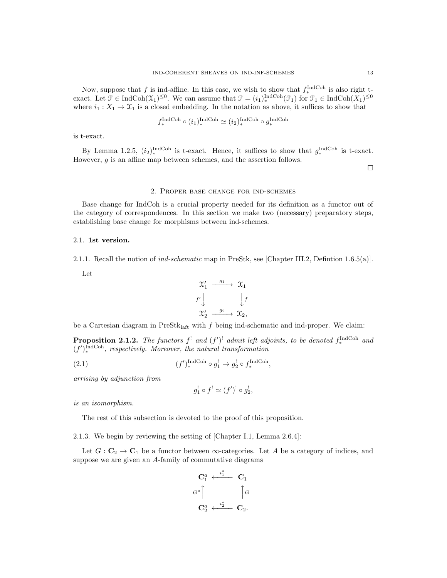Now, suppose that f is ind-affine. In this case, we wish to show that  $f_*^{\text{IndCoh}}$  is also right texact. Let  $\mathcal{F} \in \text{IndCoh}(\mathcal{X}_1)^{\leq 0}$ . We can assume that  $\mathcal{F} = (i_1)_*^{\text{IndCoh}}(\mathcal{F}_1)$  for  $\mathcal{F}_1 \in \text{IndCoh}(X_1)^{\leq 0}$ where  $i_1 : X_1 \to X_1$  is a closed embedding. In the notation as above, it suffices to show that

$$
f_*^{\text{IndCoh}} \circ (i_1)_*^{\text{IndCoh}} \simeq (i_2)_*^{\text{IndCoh}} \circ g_*^{\text{IndCoh}}
$$

is t-exact.

By Lemma 1.2.5,  $(i_2)_{*}^{\text{IndCoh}}$  is t-exact. Hence, it suffices to show that  $g_{*}^{\text{IndCoh}}$  is t-exact. However, g is an affine map between schemes, and the assertion follows.

 $\hfill \square$ 

## 2. Proper base change for ind-schemes

Base change for IndCoh is a crucial property needed for its definition as a functor out of the category of correspondences. In this section we make two (necessary) preparatory steps, establishing base change for morphisms between ind-schemes.

#### 2.1. 1st version.

2.1.1. Recall the notion of *ind-schematic* map in PreStk, see [Chapter III.2, Defintion 1.6.5(a)].

Let

$$
\begin{array}{ccc}\n\mathfrak{X}'_1 & \xrightarrow{g_1} & \mathfrak{X}_1 \\
f' \downarrow & & \downarrow f \\
\mathfrak{X}'_2 & \xrightarrow{g_2} & \mathfrak{X}_2,\n\end{array}
$$

be a Cartesian diagram in  $PreStk<sub>laff</sub>$  with f being ind-schematic and ind-proper. We claim:

**Proposition 2.1.2.** The functors  $f^!$  and  $(f')^!$  admit left adjoints, to be denoted  $f^{\text{IndCoh}}_*$  and  $(f')_*^{\text{IndCoh}}$ , respectively. Moreover, the natural transformation

$$
(f')_*^{\text{IndCoh}} \circ g_1^! \to g_2^! \circ f_*^{\text{IndCoh}},
$$

arrising by adjunction from

$$
g_1^!\circ f^! \simeq (f')^!\circ g_2^! ,
$$

is an isomorphism.

The rest of this subsection is devoted to the proof of this proposition.

2.1.3. We begin by reviewing the setting of [Chapter I.1, Lemma 2.6.4]:

Let  $G: \mathbf{C}_2 \to \mathbf{C}_1$  be a functor between  $\infty$ -categories. Let A be a category of indices, and suppose we are given an A-family of commutative diagrams

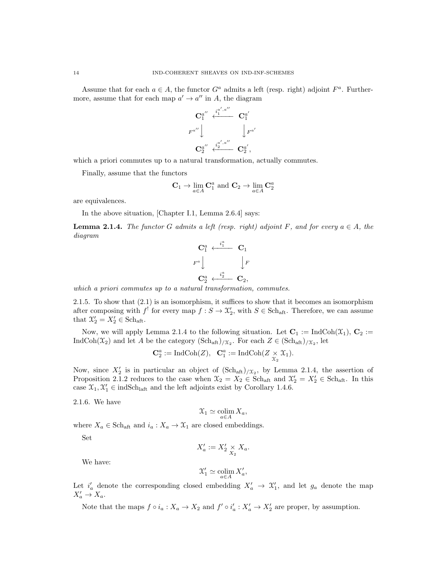Assume that for each  $a \in A$ , the functor  $G^a$  admits a left (resp. right) adjoint  $F^a$ . Furthermore, assume that for each map  $a' \to a''$  in A, the diagram



which a priori commutes up to a natural transformation, actually commutes.

Finally, assume that the functors

$$
\mathbf{C}_1 \to \lim_{a \in A} \mathbf{C}_1^a \text{ and } \mathbf{C}_2 \to \lim_{a \in A} \mathbf{C}_2^a
$$

are equivalences.

In the above situation, [Chapter I.1, Lemma 2.6.4] says:

**Lemma 2.1.4.** The functor G admits a left (resp. right) adjoint F, and for every  $a \in A$ , the diagram



which a priori commutes up to a natural transformation, commutes.

2.1.5. To show that (2.1) is an isomorphism, it suffices to show that it becomes an isomorphism after composing with  $f'$  for every map  $f : S \to \mathcal{X}'_2$ , with  $S \in \text{Sch}_{\text{aff}}$ . Therefore, we can assume that  $\mathcal{X}'_2 = X'_2 \in \text{Sch}_{\text{aft}}$ .

Now, we will apply Lemma 2.1.4 to the following situation. Let  $\mathbf{C}_1 := \text{IndCoh}(\mathfrak{X}_1)$ ,  $\mathbf{C}_2 :=$ IndCoh( $\mathfrak{X}_2$ ) and let A be the category  $(\text{Sch}_{\text{aff}})_{/\mathfrak{X}_2}$ . For each  $Z \in (\text{Sch}_{\text{aff}})_{/\mathfrak{X}_2}$ , let

$$
\mathbf{C}_2^a := \mathrm{IndCoh}(Z), \quad \mathbf{C}_1^a := \mathrm{IndCoh}(Z \underset{\chi_2}{\times} \mathfrak{X}_1).
$$

Now, since  $X_2'$  is in particular an object of  $(\text{Sch}_{\text{aff}})_{/\mathfrak{X}_2}$ , by Lemma 2.1.4, the assertion of Proposition 2.1.2 reduces to the case when  $\mathcal{X}_2 = X_2 \in \text{Sch}_{\text{aff}}$  and  $\mathcal{X}'_2 = X'_2 \in \text{Sch}_{\text{aff}}$ . In this case  $\mathcal{X}_1, \mathcal{X}'_1 \in \text{indSch}_{\text{laff}}$  and the left adjoints exist by Corollary 1.4.6.

2.1.6. We have

$$
\mathcal{X}_1 \simeq \operatornamewithlimits{colim}_{a \in A} X_a,
$$

where  $X_a \in \text{Sch}_{\text{aff}}$  and  $i_a: X_a \to \mathfrak{X}_1$  are closed embeddings.

Set

$$
X'_a := X'_2 \underset{X_2}{\times} X_a.
$$

We have:

$$
\mathfrak{X}'_1\simeq \operatornamewithlimits{colim}_{a\in A}X'_a,
$$

Let  $i'_a$  denote the corresponding closed embedding  $X'_a \to \mathcal{X}'_1$ , and let  $g_a$  denote the map  $X'_a \to X_a.$ 

Note that the maps  $f \circ i_a : X_a \to X_2$  and  $f' \circ i'_a : X'_a \to X'_2$  are proper, by assumption.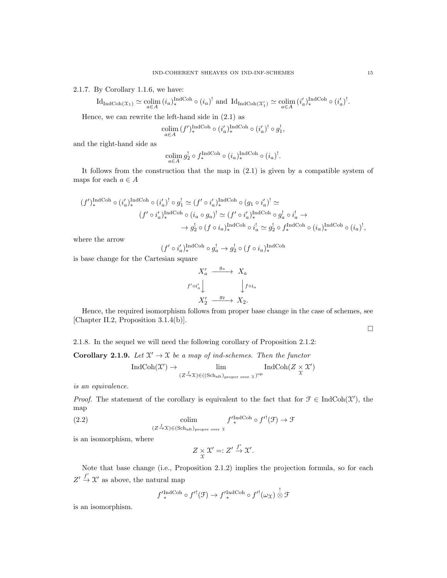2.1.7. By Corollary 1.1.6, we have:

$$
\mathrm{Id}_{\mathrm{Ind}\mathrm{Coh}(\mathfrak{X}_1)}\simeq \underset{a\in A}{\mathrm{colim}}\,(i_a)_*^{\mathrm{Ind}\mathrm{Coh}}\circ (i_a)^! \text{ and }\mathrm{Id}_{\mathrm{Ind}\mathrm{Coh}(\mathfrak{X}'_1)}\simeq \underset{a\in A}{\mathrm{colim}}\,(i'_a)_*^{\mathrm{Ind}\mathrm{Coh}}\circ (i'_a)^!.
$$

Hence, we can rewrite the left-hand side in (2.1) as

$$
\underset{a \in A}{\text{colim}} (f')_*^{\text{IndCoh}} \circ (i'_a)_*^{\text{IndCoh}} \circ (i'_a)^! \circ g_1^!,
$$

and the right-hand side as

$$
\operatornamewithlimits{colim}_{a\in A} g_2^! \circ f^{\operatorname{IndCoh}}_* \circ (i_a)_*^{\operatorname{IndCoh}} \circ (i_a)^!.
$$

It follows from the construction that the map in (2.1) is given by a compatible system of maps for each  $a \in A$ 

$$
\begin{aligned} (f')_*^{\operatorname{IndCoh}} &\circ (i'_a)_*^{\operatorname{IndCoh}} \circ (i'_a)^! \circ g_1^! \simeq (f' \circ i'_a)_*^{\operatorname{IndCoh}} \circ (g_1 \circ i'_a)^! \simeq \\ & (f' \circ i'_a)_*^{\operatorname{IndCoh}} \circ (i_a \circ g_a)^! \simeq (f' \circ i'_a)_*^{\operatorname{IndCoh}} \circ g_a^! \circ i^!_a \to \\ & \to g_2^! \circ (f \circ i_a)_*^{\operatorname{IndCoh}} \circ i^!_a \simeq g_2^! \circ f_*^{\operatorname{IndCoh}} \circ (i_a)_*^{\operatorname{IndCoh}} \circ (i_a)^!, \end{aligned}
$$

where the arrow

$$
(f' \circ i'_a)^{{\rm IndCoh}}_{*} \circ g^!_a \to g^!_2 \circ (f \circ i_a)^{{\rm IndCoh}}_*
$$

is base change for the Cartesian square

$$
X'_a \xrightarrow{g_a} X_a
$$
  

$$
f' \circ i'_a \downarrow \qquad \qquad \downarrow f \circ i_a
$$
  

$$
X'_2 \xrightarrow{g_2} X_2.
$$

Hence, the required isomorphism follows from proper base change in the case of schemes, see [Chapter II.2, Proposition 3.1.4(b)].

 $\Box$ 

2.1.8. In the sequel we will need the following corollary of Proposition 2.1.2:

**Corollary 2.1.9.** Let  $\mathcal{X}' \to \mathcal{X}$  be a map of ind-schemes. Then the functor

$$
\operatorname{IndCoh}(\mathcal{X}') \to \lim_{(Z \xrightarrow{f} \mathcal{X}) \in ((\operatorname{Sch}_{\operatorname{aff}})_{\operatorname{proper over} \mathcal{X}})^{\operatorname{op}}} \operatorname{IndCoh}(Z \times \mathcal{X}')
$$

is an equivalence.

*Proof.* The statement of the corollary is equivalent to the fact that for  $\mathcal{F} \in \text{IndCoh}(\mathcal{X}')$ , the map

(2.2) colim 
$$
f'^{\text{IndCoh}}_{*} \circ f'^{!}(\mathcal{F}) \to \mathcal{F}
$$

$$
(Z \xrightarrow{f} \mathcal{X}) \in (\text{Sch}_{\text{aff}})_{\text{proper over } \mathcal{X}}
$$

is an isomorphism, where

$$
Z \underset{\mathfrak{X}}{\times} \mathfrak{X}' =: Z' \overset{f'}{\to} \mathfrak{X}'.
$$

Note that base change (i.e., Proposition 2.1.2) implies the projection formula, so for each  $Z' \stackrel{f'}{\rightarrow} X'$  as above, the natural map

$$
f'_{*}^{\text{IndCoh}} \circ f'^{!}(\mathcal{F}) \to f'_{*}^{\text{IndCoh}} \circ f'^{!}(\omega_{\mathcal{X}}) \overset{!}{\otimes} \mathcal{F}
$$

is an isomorphism.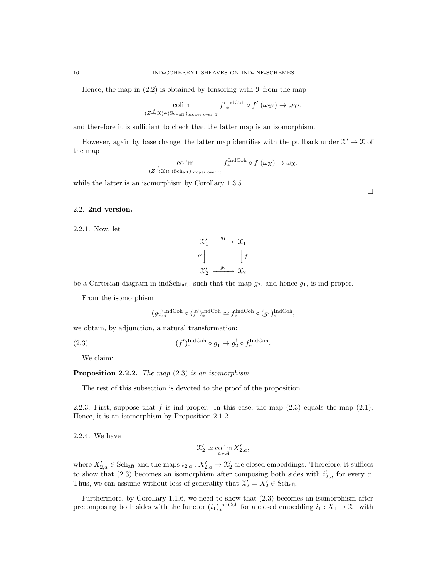Hence, the map in  $(2.2)$  is obtained by tensoring with  $\mathcal F$  from the map

$$
\underset{(Z \to \mathfrak{X}) \in (\text{Sch}_{\text{aff}})_{\text{proper over } \mathfrak{X}}}{\text{colim}} f'^{\text{IndCoh}}_{*} \circ f'^{\text{!}}(\omega_{\mathfrak{X}'}) \to \omega_{\mathfrak{X}'},
$$

and therefore it is sufficient to check that the latter map is an isomorphism.

However, again by base change, the latter map identifies with the pullback under  $\mathcal{X}' \to \mathcal{X}$  of the map

$$
\underset{(Z \to \mathfrak{X}) \in (\text{Sch}_{\text{aff}})_{\text{proper over } \mathfrak{X}}}{\text{colim}} f_*^{\text{IndCoh}} \circ f^!(\omega_{\mathfrak{X}}) \to \omega_{\mathfrak{X}},
$$

while the latter is an isomorphism by Corollary 1.3.5.

### 2.2. 2nd version.

2.2.1. Now, let

$$
\begin{array}{ccc}\n\mathcal{X}'_1 & \xrightarrow{g_1} & \mathcal{X}_1 \\
f' \downarrow & & \downarrow f \\
\mathcal{X}'_2 & \xrightarrow{g_2} & \mathcal{X}_2\n\end{array}
$$

be a Cartesian diagram in indSch<sub>laft</sub>, such that the map  $g_2$ , and hence  $g_1$ , is ind-proper.

From the isomorphism

$$
(g_2)^{\operatorname{IndCoh}}_* \circ (f')^{\operatorname{IndCoh}}_* \simeq f^{\operatorname{IndCoh}}_* \circ (g_1)^{\operatorname{IndCoh}}_*,
$$

we obtain, by adjunction, a natural transformation:

 $(2.3)$  $\mathcal{O}_{*}^{\text{IndCoh}} \circ g_1^! \to g_2^! \circ f_*^{\text{IndCoh}}.$ 

We claim:

Proposition 2.2.2. The map  $(2.3)$  is an isomorphism.

The rest of this subsection is devoted to the proof of the proposition.

2.2.3. First, suppose that  $f$  is ind-proper. In this case, the map  $(2.3)$  equals the map  $(2.1)$ . Hence, it is an isomorphism by Proposition 2.1.2.

2.2.4. We have

$$
\mathcal{X}'_2 \simeq \operatornamewithlimits{colim}_{a \in A} X'_{2,a},
$$

where  $X'_{2,a} \in \text{Sch}_{\text{aff}}$  and the maps  $i_{2,a} : X'_{2,a} \to \mathcal{X}'_2$  are closed embeddings. Therefore, it suffices to show that (2.3) becomes an isomorphism after composing both sides with  $i_{2,a}^{\dagger}$  for every a. Thus, we can assume without loss of generality that  $\mathcal{X}'_2 = X'_2 \in \text{Sch}_{\text{aft}}$ .

Furthermore, by Corollary 1.1.6, we need to show that (2.3) becomes an isomorphism after precomposing both sides with the functor  $(i_1)_*^{\text{IndCoh}}$  for a closed embedding  $i_1 : X_1 \to X_1$  with

 $\Box$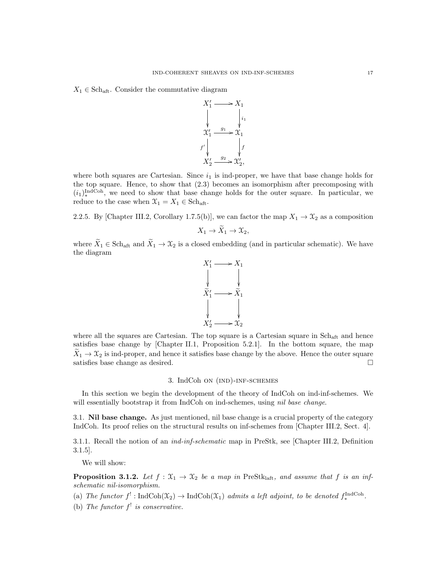$X_1 \in Sch_{\text{aft}}$ . Consider the commutative diagram



where both squares are Cartesian. Since  $i_1$  is ind-proper, we have that base change holds for the top square. Hence, to show that (2.3) becomes an isomorphism after precomposing with  $(i_1)_*^{\text{IndCoh}}$ , we need to show that base change holds for the outer square. In particular, we reduce to the case when  $\mathfrak{X}_1 = X_1 \in \text{Sch}_{\text{aff}}$ .

2.2.5. By [Chapter III.2, Corollary 1.7.5(b)], we can factor the map  $X_1 \to X_2$  as a composition

$$
X_1 \to \tilde{X}_1 \to \mathfrak{X}_2,
$$

where  $\widetilde{X}_1 \in \text{Sch}_{\text{aff}}$  and  $\widetilde{X}_1 \to \mathfrak{X}_2$  is a closed embedding (and in particular schematic). We have the diagram



where all the squares are Cartesian. The top square is a Cartesian square in  $Sch_{\text{aft}}$  and hence satisfies base change by [Chapter II.1, Proposition 5.2.1]. In the bottom square, the map  $X_1 \rightarrow X_2$  is ind-proper, and hence it satisfies base change by the above. Hence the outer square satisfies base change as desired. satisfies base change as desired.

#### 3. IndCoh on (ind)-inf-schemes

In this section we begin the development of the theory of IndCoh on ind-inf-schemes. We will essentially bootstrap it from IndCoh on ind-schemes, using *nil base change*.

3.1. Nil base change. As just mentioned, nil base change is a crucial property of the category IndCoh. Its proof relies on the structural results on inf-schemes from [Chapter III.2, Sect. 4].

3.1.1. Recall the notion of an ind-inf-schematic map in PreStk, see [Chapter III.2, Definition 3.1.5].

We will show:

**Proposition 3.1.2.** Let  $f : \mathfrak{X}_1 \to \mathfrak{X}_2$  be a map in PreStk<sub>laft</sub>, and assume that f is an infschematic nil-isomorphism.

(a) The functor  $f' : \text{IndCoh}(\mathfrak{X}_2) \to \text{IndCoh}(\mathfrak{X}_1)$  admits a left adjoint, to be denoted  $f_*^{\text{IndCoh}}$ .

(b) The functor  $f^!$  is conservative.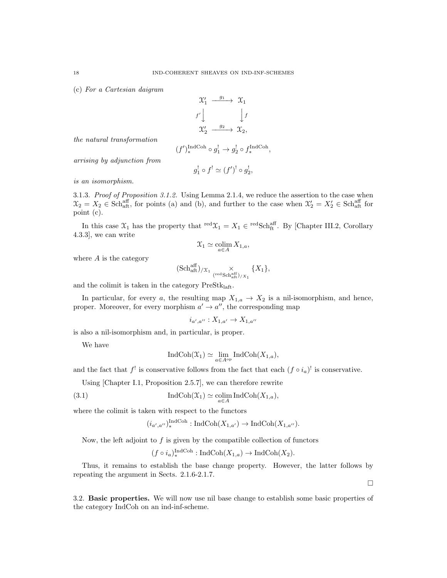(c) For a Cartesian daigram

$$
\begin{array}{ccc}\n\mathfrak{X}'_1 & \xrightarrow{g_1} & \mathfrak{X}_1 \\
f' \downarrow & & \downarrow f \\
\mathfrak{X}'_2 & \xrightarrow{g_2} & \mathfrak{X}_2,\n\end{array}
$$

the natural transformation

$$
(f')_*^{\text{IndCoh}} \circ g_1^! \to g_2^! \circ f_*^{\text{IndCoh}},
$$

arrising by adjunction from

$$
g_1^! \circ f^! \simeq (f')^! \circ g_2^!,
$$

is an isomorphism.

3.1.3. Proof of Proposition  $3.1.2$ . Using Lemma 2.1.4, we reduce the assertion to the case when  $\mathfrak{X}_2 = X_2 \in \text{Sch}_{\text{aff}}^{\text{aff}}$ , for points (a) and (b), and further to the case when  $\mathfrak{X}'_2 = X'_2 \in \text{Sch}_{\text{aff}}^{\text{aff}}$  for point (c).

In this case  $\mathfrak{X}_1$  has the property that  $\mathrm{red} \mathfrak{X}_1 = X_1 \in \mathrm{redSch}^{\mathrm{aff}}_{\mathrm{ft}}$ . By [Chapter III.2, Corollary 4.3.3], we can write

$$
\mathfrak{X}_1\simeq \operatornamewithlimits{colim}_{a\in A}X_{1,a},
$$

where  $A$  is the category

$$
(\mathrm{Sch}^{\mathrm{aff}}_{\mathrm{aft}})_{/\mathfrak{X}_1} \underset{(\mathrm{redSch}^{\mathrm{aff}}_{\mathrm{aft}})_{/\mathfrak{X}_1}}{\times} \{X_1\},
$$

and the colimit is taken in the category  $PreStk<sub>laff</sub>$ .

In particular, for every a, the resulting map  $X_{1,a} \to X_2$  is a nil-isomorphism, and hence, proper. Moreover, for every morphism  $a' \rightarrow a''$ , the corresponding map

$$
i_{a',a''}:X_{1,a'}\to X_{1,a''}
$$

is also a nil-isomorphism and, in particular, is proper.

We have

$$
\text{IndCoh}(\mathfrak{X}_1) \simeq \lim_{a \in A^{\text{op}}} \text{IndCoh}(X_{1,a}),
$$

and the fact that  $f'$  is conservative follows from the fact that each  $(f \circ i_a)$ <sup>!</sup> is conservative.

Using [Chapter I.1, Proposition 2.5.7], we can therefore rewrite

(3.1) 
$$
\operatorname{IndCoh}(\mathfrak{X}_1) \simeq \operatorname*{colim}_{a \in A} \operatorname{IndCoh}(X_{1,a}),
$$

where the colimit is taken with respect to the functors

$$
(i_{a',a''})_*^{\text{IndCoh}} : \text{IndCoh}(X_{1,a'}) \to \text{IndCoh}(X_{1,a''}).
$$

Now, the left adjoint to  $f$  is given by the compatible collection of functors

 $(f \circ i_a)_*^{\text{IndCoh}} : \text{IndCoh}(X_{1,a}) \to \text{IndCoh}(X_2).$ 

Thus, it remains to establish the base change property. However, the latter follows by repeating the argument in Sects. 2.1.6-2.1.7.

 $\Box$ 

3.2. Basic properties. We will now use nil base change to establish some basic properties of the category IndCoh on an ind-inf-scheme.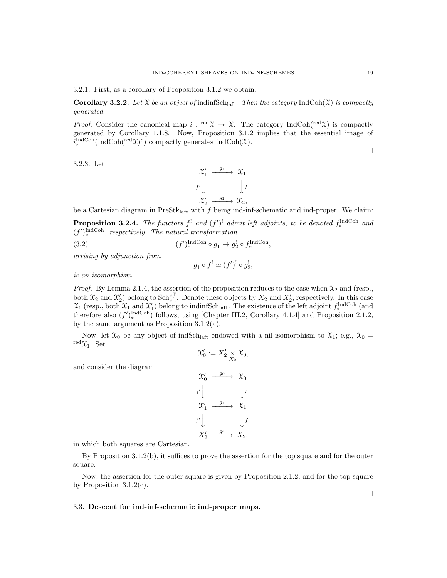3.2.1. First, as a corollary of Proposition 3.1.2 we obtain:

**Corollary 3.2.2.** Let X be an object of indinfSch<sub>laft</sub>. Then the category IndCoh(X) is compactly generated.

*Proof.* Consider the canonical map  $i: \text{red } \mathfrak{X} \to \mathfrak{X}$ . The category IndCoh( $\text{red } \mathfrak{X}$ ) is compactly generated by Corollary 1.1.8. Now, Proposition 3.1.2 implies that the essential image of  $i_{\ast}^{\text{IndCoh}}(\text{IndCoh}(\text{red}\mathfrak{X})^c)$  compactly generates  $\text{IndCoh}(\mathfrak{X})$ .

3.2.3. Let



be a Cartesian diagram in PreSt $k_{\text{left}}$  with f being ind-inf-schematic and ind-proper. We claim:

**Proposition 3.2.4.** The functors  $f^!$  and  $(f')^!$  admit left adjoints, to be denoted  $f^{\text{IndCoh}}_*$  and  $(f')_*^{\text{IndCoh}}$ , respectively. The natural transformation

(3.2) 
$$
(f')_*^{\text{IndCoh}} \circ g_1^! \to g_2^! \circ f_*^{\text{IndCoh}},
$$

arrising by adjunction from

$$
g_1^! \circ f^! \simeq (f')^! \circ g_2^!,
$$

is an isomorphism.

*Proof.* By Lemma 2.1.4, the assertion of the proposition reduces to the case when  $\mathfrak{X}_2$  and (resp., both  $\mathfrak{X}_2$  and  $\mathfrak{X}'_2$ ) belong to Schaff. Denote these objects by  $X_2$  and  $X'_2$ , respectively. In this case  $\mathfrak{X}_1$  (resp., both  $\mathfrak{X}_1$  and  $\mathfrak{X}'_1$ ) belong to indinfSch<sub>laft</sub>. The existence of the left adjoint  $f_*^{\text{IndCoh}}$  (and therefore also  $(f')_*^{\text{IndCoh}}$  follows, using [Chapter III.2, Corollary 4.1.4] and Proposition 2.1.2, by the same argument as Proposition 3.1.2(a).

Now, let  $\mathfrak{X}_0$  be any object of indSch<sub>laft</sub> endowed with a nil-isomorphism to  $\mathfrak{X}_1$ ; e.g.,  $\mathfrak{X}_0$  =  $\text{red}\,\chi_1$ . Set

 $\mathcal{X}'_0 := X'_2 \underset{X_2}{\times} \mathcal{X}_0,$ 

and consider the diagram

$$
\begin{array}{ccc}\n\mathfrak{X}'_0 & \xrightarrow{g_0} & \mathfrak{X}_0 \\
i' & & \downarrow i \\
\mathfrak{X}'_1 & \xrightarrow{g_1} & \mathfrak{X}_1 \\
f' & & \downarrow f \\
X'_2 & \xrightarrow{g_2} & X_2,\n\end{array}
$$

in which both squares are Cartesian.

By Proposition 3.1.2(b), it suffices to prove the assertion for the top square and for the outer square.

Now, the assertion for the outer square is given by Proposition 2.1.2, and for the top square by Proposition  $3.1.2(c)$ .

#### 3.3. Descent for ind-inf-schematic ind-proper maps.

 $\Box$ 

 $\Box$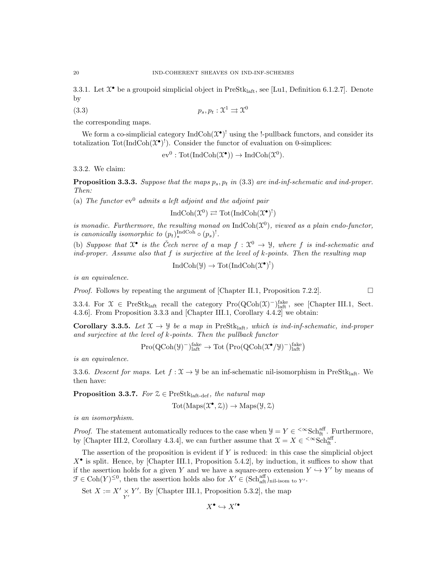3.3.1. Let  $\mathfrak{X}^{\bullet}$  be a groupoid simplicial object in PreSt $k_{\mathrm{laff}}$ , see [Lu1, Definition 6.1.2.7]. Denote by

$$
(3.3) \t\t\t p_s, p_t: \mathfrak{X}^1 \rightrightarrows \mathfrak{X}^0
$$

the corresponding maps.

We form a co-simplicial category  $\text{IndCoh}(\mathfrak{X}^{\bullet})^!$  using the !-pullback functors, and consider its totalization  $\text{Tot}(\text{IndCoh}(\mathfrak{X}^{\bullet})^!)$ . Consider the functor of evaluation on 0-simplices:

$$
ev^0: \mathrm{Tot}(\mathrm{IndCoh}(\mathfrak{X}^\bullet)) \to \mathrm{IndCoh}(\mathfrak{X}^0).
$$

3.3.2. We claim:

**Proposition 3.3.3.** Suppose that the maps  $p_s$ ,  $p_t$  in (3.3) are ind-inf-schematic and ind-proper. Then:

(a) The functor  $ev^0$  admits a left adjoint and the adjoint pair

$$
\operatorname{IndCoh}(\mathfrak{X}^0) \rightleftarrows \operatorname{Tot}(\operatorname{IndCoh}(\mathfrak{X}^{\bullet})^!)
$$

is monadic. Furthermore, the resulting monad on  $\text{IndCoh}(\mathfrak{X}^0)$ , viewed as a plain endo-functor, is canonically isomorphic to  $(p_t)_*^{\text{IndCoh}} \circ (p_s)^!$ .

(b) Suppose that  $\mathfrak{X}^{\bullet}$  is the Čech nerve of a map  $f : \mathfrak{X}^0 \to \mathcal{Y}$ , where f is ind-schematic and ind-proper. Assume also that  $f$  is surjective at the level of  $k$ -points. Then the resulting map

 $\text{IndCoh}(\mathcal{Y}) \to \text{Tot}(\text{IndCoh}(\mathcal{X}^{\bullet})^!)$ 

is an equivalence.

*Proof.* Follows by repeating the argument of [Chapter II.1, Proposition 7.2.2].

3.3.4. For  $\mathfrak{X} \in \mathrm{PreStk}_{\mathrm{laft}}$  recall the category  $\mathrm{Pro}(\mathrm{QCoh}(\mathfrak{X})^{-})^{\mathrm{fake}}_{\mathrm{laft}}$ , see [Chapter III.1, Sect. 4.3.6]. From Proposition 3.3.3 and [Chapter III.1, Corollary 4.4.2] we obtain:

Corollary 3.3.5. Let  $\mathfrak{X} \to \mathfrak{Y}$  be a map in PreStk<sub>laft</sub>, which is ind-inf-schematic, ind-proper and surjective at the level of k-points. Then the pullback functor

$$
\mathrm{Pro}(\mathrm{QCoh}(\mathcal{Y})^{-})^{\mathrm{fake}}_{\mathrm{laff}} \rightarrow \mathrm{Tot}\left(\mathrm{Pro}(\mathrm{QCoh}(\mathfrak{X}^{\bullet}/\mathcal{Y})^{-})^{\mathrm{fake}}_{\mathrm{laff}}\right)
$$

is an equivalence.

3.3.6. Descent for maps. Let  $f: \mathcal{X} \to \mathcal{Y}$  be an inf-schematic nil-isomorphism in PreStk<sub>laft</sub>. We then have:

**Proposition 3.3.7.** For  $\mathcal{Z} \in \text{PreStk}_{\text{laff-def}}$ , the natural map

$$
Tot(Maps(\mathcal{X}^{\bullet}, \mathcal{Z})) \to Maps(\mathcal{Y}, \mathcal{Z})
$$

is an isomorphism.

*Proof.* The statement automatically reduces to the case when  $\mathcal{Y} = Y \in \text{~}^{\infty}\text{Sch}^{\text{aff}}_{\text{ft}}$ . Furthermore, by [Chapter III.2, Corollary 4.3.4], we can further assume that  $\mathfrak{X} = X \in \text{&}\infty \text{Sch}^{\text{aff}}_{\text{ft}}$ .

The assertion of the proposition is evident if  $Y$  is reduced: in this case the simplicial object  $X^{\bullet}$  is split. Hence, by [Chapter III.1, Proposition 5.4.2], by induction, it suffices to show that if the assertion holds for a given Y and we have a square-zero extension  $Y \hookrightarrow Y'$  by means of  $\mathcal{F} \in \text{Coh}(Y)^{\leq 0}$ , then the assertion holds also for  $X' \in (\text{Sch}^{\text{aff}}_{\text{aff}})_{\text{nil-isom to } Y'}$ .

Set  $X := X' \underset{Y'}{\times} Y'$ . By [Chapter III.1, Proposition 5.3.2], the map

$$
X^\bullet \hookrightarrow X'^\bullet
$$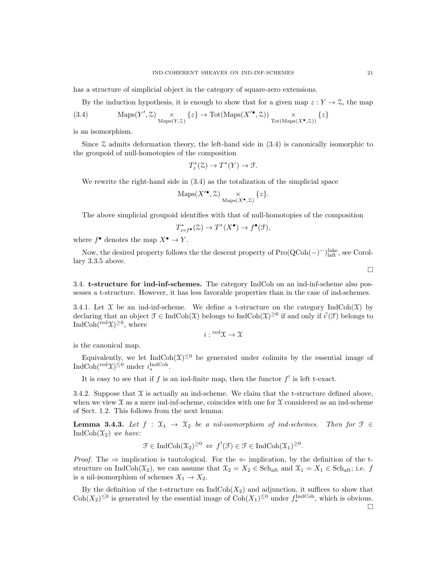has a structure of simplicial object in the category of square-zero extensions.

By the induction hypothesis, it is enough to show that for a given map  $z: Y \to \mathcal{Z}$ , the map

(3.4) 
$$
\operatorname{Maps}(Y', \mathcal{Z}) \underset{\operatorname{Maps}(Y, \mathcal{Z})}{\times} \{z\} \to \operatorname{Tot}(\operatorname{Maps}(X'^{\bullet}, \mathcal{Z})) \underset{\operatorname{Tot}(\operatorname{Maps}(X^{\bullet}, \mathcal{Z}))}{\times} \{z\}
$$

is an isomorphism.

Since  $\mathfrak X$  admits deformation theory, the left-hand side in  $(3.4)$  is canonically isomorphic to the groupoid of null-homotopies of the composition

$$
T_z^*(\mathcal{Z}) \to T^*(Y) \to \mathcal{F}.
$$

We rewrite the right-hand side in (3.4) as the totalization of the simplicial space

$$
\mathrm{Maps}(X^{\prime\bullet}, \mathcal{Z})\underset{\mathrm{Maps}(X^{\bullet}, \mathcal{Z})}{\times} \{z\}.
$$

The above simplicial groupoid identifies with that of null-homotopies of the composition

$$
T^*_{z \circ f^{\bullet}}(\mathcal{Z}) \to T^*(X^{\bullet}) \to f^{\bullet}(\mathcal{F}),
$$

where  $f^{\bullet}$  denotes the map  $X^{\bullet} \to Y$ .

Now, the desired property follows the the descent property of  $Pro(QCoh(-)^-)^{\text{fake}}_{\text{leaf}}$ , see Corollary 3.3.5 above.

3.4. t-structure for ind-inf-schemes. The category IndCoh on an ind-inf-scheme also possesses a t-structure. However, it has less favorable properties than in the case of ind-schemes.

3.4.1. Let  $\mathfrak X$  be an ind-inf-scheme. We define a t-structure on the category IndCoh( $\mathfrak X$ ) by declaring that an object  $\mathcal{F} \in \text{IndCoh}(\mathcal{X})$  belongs to  $\text{IndCoh}(\mathcal{X})^{\geq 0}$  if and only if  $i^!(\mathcal{F})$  belongs to IndCoh( $\text{red}(\mathfrak{X})^{\geq 0}$ , where

 $i: {}^{\rm red} \mathfrak{X} \to \mathfrak{X}$ 

is the canonical map.

Equivalently, we let  $IndCoh(\mathfrak{X})^{\leq 0}$  be generated under colimits by the essential image of  $\text{IndCoh}(\text{red}\mathfrak{X})^{\leq 0}$  under  $i^{\text{IndCoh}}_*$ .

It is easy to see that if f is an ind-finite map, then the functor  $f^!$  is left t-exact.

3.4.2. Suppose that  $\mathfrak X$  is actually an ind-scheme. We claim that the t-structure defined above, when we view  $\mathfrak X$  as a mere ind-inf-scheme, coincides with one for  $\mathfrak X$  considered as an ind-scheme of Sect. 1.2. This follows from the next lemma:

**Lemma 3.4.3.** Let  $f : \mathfrak{X}_1 \to \mathfrak{X}_2$  be a nil-isomorphism of ind-schemes. Then for  $\mathfrak{F} \in$ IndCoh $(\mathfrak{X}_2)$  we have:

$$
\mathcal{F} \in \mathrm{IndCoh}(\mathcal{X}_2)^{\geq 0} \Leftrightarrow f^!(\mathcal{F}) \in \mathcal{F} \in \mathrm{IndCoh}(\mathcal{X}_1)^{\geq 0}.
$$

*Proof.* The  $\Rightarrow$  implication is tautological. For the  $\Leftarrow$  implication, by the definition of the tstructure on IndCoh( $\mathfrak{X}_2$ ), we can assume that  $\mathfrak{X}_2 = X_2 \in \text{Sch}_{\text{aff}}$  and  $\mathfrak{X}_1 = X_1 \in \text{Sch}_{\text{aff}}$ ; i.e. f is a nil-isomorphism of schemes  $X_1 \rightarrow X_2$ .

By the definition of the t-structure on  $\text{IndCoh}(X_2)$  and adjunction, it suffices to show that  $\text{Coh}(X_2)^{\leq 0}$  is generated by the essential image of  $\text{Coh}(X_1)^{\leq 0}$  under  $f_*^{\text{IndCoh}}$ , which is obvious.  $\Box$ 

 $\Box$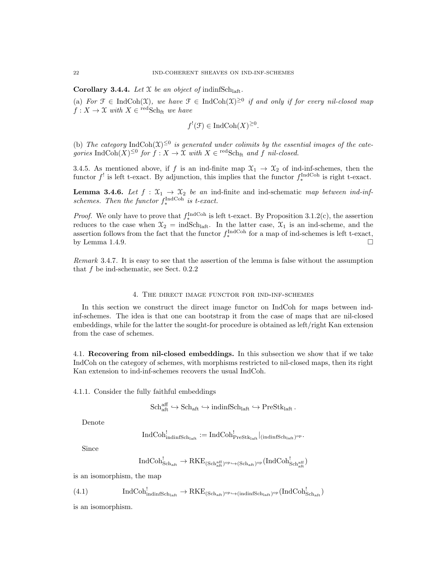**Corollary 3.4.4.** Let  $X$  be an object of indinfSch<sub>laft</sub>.

(a) For  $\mathfrak{F} \in \text{IndCoh}(\mathfrak{X})$ , we have  $\mathfrak{F} \in \text{IndCoh}(\mathfrak{X})^{\geq 0}$  if and only if for every nil-closed map  $f: X \to \mathfrak{X}$  with  $X \in \text{redSch}_{\text{ft}}$  we have

$$
f^{!}(\mathcal{F}) \in \text{IndCoh}(X)^{\geq 0}.
$$

(b) The category IndCoh( $\mathfrak{X}$ )<sup> $\leq 0$ </sup> is generated under colimits by the essential images of the categories  $\text{IndCoh}(X)^{\leq 0}$  for  $f: X \to \mathfrak{X}$  with  $X \in \text{redSch}_{ft}$  and f nil-closed.

3.4.5. As mentioned above, if f is an ind-finite map  $\mathfrak{X}_1 \to \mathfrak{X}_2$  of ind-inf-schemes, then the functor  $f^!$  is left t-exact. By adjunction, this implies that the functor  $f_*^{\text{IndCoh}}$  is right t-exact.

**Lemma 3.4.6.** Let  $f : \mathfrak{X}_1 \to \mathfrak{X}_2$  be an ind-finite and ind-schematic map between ind-infschemes. Then the functor  $f_*^{\text{IndCoh}}$  is t-exact.

*Proof.* We only have to prove that  $f_*^{\text{IndCoh}}$  is left t-exact. By Proposition 3.1.2(c), the assertion reduces to the case when  $\mathfrak{X}_2 = \text{indSch}_{\text{laff}}$ . In the latter case,  $\mathfrak{X}_1$  is an ind-scheme, and the assertion follows from the fact that the functor  $f_*^{\text{IndCoh}}$  for a map of ind-schemes is left t-exact, by Lemma 1.4.9.

Remark 3.4.7. It is easy to see that the assertion of the lemma is false without the assumption that  $f$  be ind-schematic, see Sect. 0.2.2

#### 4. The direct image functor for ind-inf-schemes

In this section we construct the direct image functor on IndCoh for maps between indinf-schemes. The idea is that one can bootstrap it from the case of maps that are nil-closed embeddings, while for the latter the sought-for procedure is obtained as left/right Kan extension from the case of schemes.

4.1. Recovering from nil-closed embeddings. In this subsection we show that if we take IndCoh on the category of schemes, with morphisms restricted to nil-closed maps, then its right Kan extension to ind-inf-schemes recovers the usual IndCoh.

4.1.1. Consider the fully faithful embeddings

 $Sch_{\text{aff}}^{\text{aff}} \hookrightarrow Sch_{\text{aff}} \hookrightarrow \text{indinfSch}_{\text{laff}} \hookrightarrow \text{PreStk}_{\text{laff}}$ .

Denote

$$
\operatorname{IndCoh}_{\operatorname{indinfSch}_{\operatorname{laff}}}^! := \operatorname{IndCoh}_{\operatorname{PreStk}_{\operatorname{laff}}}^!|_{(\operatorname{indinfSch}_{\operatorname{laff}})^{\operatorname{op}}}.
$$

Since

$$
\mathrm{IndCoh}^!_{\mathrm{Sch}_{\mathrm{aff}}}\rightarrow \mathrm{RKE}_{(\mathrm{Sch}^{\mathrm{aff}}_{\mathrm{aff}})^{\mathrm{op}}\hookrightarrow (\mathrm{Sch}_{\mathrm{aff}})^{\mathrm{op}}}(\mathrm{IndCoh}^!_{\mathrm{Sch}^{\mathrm{aff}}_{\mathrm{aff}}})
$$

is an isomorphism, the map

$$
(4.1) \hspace{1cm}\text{IndCoh}_{\text{indinfSch}_{\text{laff}}}^! \rightarrow \text{RKE}_{(\text{Sch}_{\text{aft}})^{\text{op}} \hookrightarrow (\text{indinfSch}_{\text{laff}})^{\text{op}}}(\text{IndCoh}_{\text{Sch}_{\text{aft}}}^!)
$$

is an isomorphism.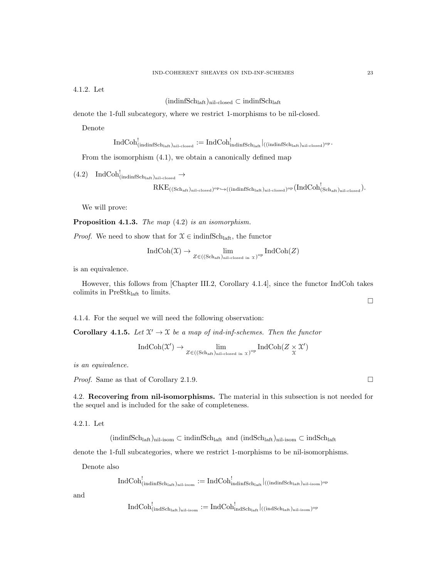4.1.2. Let

 $(\text{indinfSch}_{\text{laft}})_{\text{nil-closed}} \subset \text{indinfSch}_{\text{laft}}$ 

denote the 1-full subcategory, where we restrict 1-morphisms to be nil-closed.

Denote

$$
\mathrm{IndCoh}_{(\mathrm{indinfSch}_{\mathrm{laff}})_{\mathrm{nil-closed}}}^{!}:=\mathrm{IndCoh}_{\mathrm{indinfSch}_{\mathrm{laff}}}^{!}|_{(\mathrm{(indinfSch}_{\mathrm{laff}})_{\mathrm{nil-closed}})^{\mathrm{op}}}.
$$

From the isomorphism (4.1), we obtain a canonically defined map

$$
\begin{array}{ll} \hbox{(4.2)} \quad \mathrm{IndCoh}^!_{(\mathrm{indinfSch}_{\mathrm{laff}})_{\mathrm{nil-closed}}}\to \\\quad & \mathrm{RKE}_{((\mathrm{Sch}_{\mathrm{aff}})_{\mathrm{nil-closed}})^{\mathrm{op}}\hookrightarrow((\mathrm{indinfSch}_{\mathrm{laff}})_{\mathrm{nil-closed}})^{\mathrm{op}}(\mathrm{IndCoh}^!_{(\mathrm{Sch}_{\mathrm{aff}})_{\mathrm{nil-closed}}}). \end{array}
$$

We will prove:

Proposition 4.1.3. The map  $(4.2)$  is an isomorphism.

*Proof.* We need to show that for  $\mathcal{X} \in \text{indinfSch}_{\text{laff}}$ , the functor

$$
\operatorname{IndCoh}(\mathfrak{X}) \to \lim_{Z \in ((\operatorname{Sch}_{\operatorname{aff}})_{\operatorname{nil-closed in } \mathfrak{X}})^{\operatorname{op}}} \operatorname{IndCoh}(Z)
$$

is an equivalence.

However, this follows from [Chapter III.2, Corollary 4.1.4], since the functor IndCoh takes colimits in  $\mathrm{PreStk}_{\mathrm{laft}}$  to limits.

4.1.4. For the sequel we will need the following observation:

**Corollary 4.1.5.** Let  $\mathcal{X}' \to \mathcal{X}$  be a map of ind-inf-schemes. Then the functor

$$
\operatorname{IndCoh}(\mathcal{X}') \to \lim_{Z \in ((\operatorname{Sch}_{\operatorname{aff}})_{\operatorname{nil-closed in}} \mathcal{X})^{\operatorname{op}}} \operatorname{IndCoh}(Z \times \mathcal{X}')
$$

is an equivalence.

*Proof.* Same as that of Corollary 2.1.9. □

4.2. Recovering from nil-isomorphisms. The material in this subsection is not needed for the sequel and is included for the sake of completeness.

4.2.1. Let

 $(\text{indinfSch}_{\text{laff}})_{\text{nil-isom}} \subset \text{indinfSch}_{\text{laff}}$  and  $(\text{indSch}_{\text{laff}})_{\text{nil-isom}} \subset \text{indSch}_{\text{laff}}$ 

denote the 1-full subcategories, where we restrict 1-morphisms to be nil-isomorphisms.

Denote also

$$
\mathrm{IndCoh}_{(\mathrm{indinfSch}_\mathrm{laff})_\mathrm{nil-isom}}^!:=\mathrm{IndCoh}_{\mathrm{indinfSch}_\mathrm{laff}}^!|_{((\mathrm{indinfSch}_\mathrm{laff})_\mathrm{nil-isom})^\mathrm{op}}
$$

and

$$
\mathrm{IndCoh}^!_{(\mathrm{indSch}_\mathrm{laff})_{\mathrm{nil-isom}}}:=\mathrm{IndCoh}^!_{\mathrm{indSch}_\mathrm{laff}}|_{((\mathrm{indSch}_\mathrm{laff})_{\mathrm{nil-isom}})^{\mathrm{op}}}
$$

 $\Box$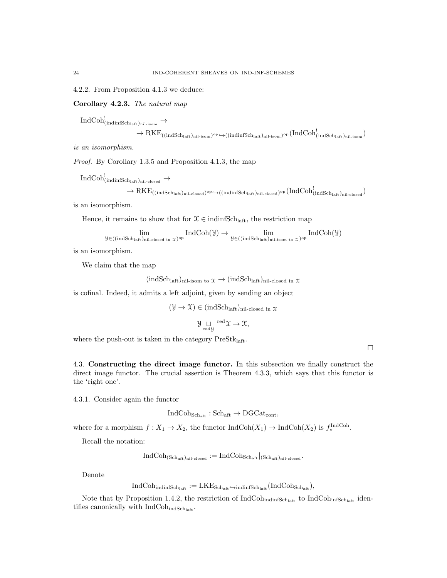4.2.2. From Proposition 4.1.3 we deduce:

Corollary 4.2.3. The natural map

 $\mathrm{IndCoh}^!_{(\mathrm{indinfSch}_{\mathrm{laff}})_{\mathrm{nil-isom}}}\to$ 

$$
\rightarrow RKE_{((indSch_{laff})_{nil-isom})^{op}\hookrightarrow ((indinfSch_{laff})_{nil-isom})^{op}}(IndCoh_{(indSch_{laff})_{nil-isom}}^{!})
$$

is an isomorphism.

Proof. By Corollary 1.3.5 and Proposition 4.1.3, the map

 $\mathrm{IndCoh}^!_{(\mathrm{indinfSch}_{\mathrm{laff}})_{\mathrm{nil-closed}}}\to$ 

$$
\rightarrow \mathrm{RKE}_{((indSch_{laff})_{nil}\text{-closed})^\mathrm{op}\hookrightarrow((indinfSch_{laff})_{nil}\text{-closed})^\mathrm{op}}(IndCoh_{(indSch_{laff})_{nil}\text{-closed}}^!
$$

is an isomorphism.

Hence, it remains to show that for  $\mathcal{X} \in \text{indinfSch}_{\text{laff}}$ , the restriction map

$$
\lim_{\mathcal Y\in ((\mathrm{indSch}_{\mathrm{laff}})_{\mathrm{nil-closed\ in\ \mathcal X}})}\mathrm{IndCoh}(\mathcal Y)\to\lim_{\mathcal Y\in ((\mathrm{indSch}_{\mathrm{laff}})_{\mathrm{nil-isom\ to\ \mathcal X}})^{\mathrm{op}}}\mathrm{IndCoh}(\mathcal Y)
$$

is an isomorphism.

We claim that the map

 $(\text{indSch}_{\text{laff}},)_{\text{nil-isom to }\mathfrak{X}} \to (\text{indSch}_{\text{laff}},)_{\text{nil-closed in }\mathfrak{X}}$ 

is cofinal. Indeed, it admits a left adjoint, given by sending an object

$$
(\mathcal{Y} \to \mathcal{X}) \in (indSchlaff)nil-closed in \mathcal{X}
$$

$$
\mathcal{Y} \underset{\mathrm{red}\, y}{\sqcup} \mathrm{^{red}} \mathfrak{X} \to \mathfrak{X},
$$

where the push-out is taken in the category  $PreStk<sub>laff</sub>$ .

 $\Box$ 

4.3. Constructing the direct image functor. In this subsection we finally construct the direct image functor. The crucial assertion is Theorem 4.3.3, which says that this functor is the 'right one'.

4.3.1. Consider again the functor

$$
IndCoh_{Sch_{\rm afft}}:Sch_{\rm afft}\to DGCat_{\rm cont},
$$

where for a morphism  $f: X_1 \to X_2$ , the functor  $\text{IndCoh}(X_1) \to \text{IndCoh}(X_2)$  is  $f_*^{\text{IndCoh}}$ .

Recall the notation:

$$
\mathrm{IndCoh}_{(\mathrm{Sch}_{\mathrm{aff}})_{\mathrm{nil-closed}}}:=\mathrm{IndCoh}_{\mathrm{Sch}_{\mathrm{aff}}}|_{(\mathrm{Sch}_{\mathrm{aff}})_{\mathrm{nil-closed}}}
$$

Denote

$$
\mathrm{IndCoh}_{\mathrm{indinfSch}_{\mathrm{laff}}}:=\mathrm{LKE}_{\mathrm{Sch}_{\mathrm{aft}}}\dot{\hookrightarrow}_{\mathrm{indinfSch}_{\mathrm{laff}}}(\mathrm{IndCoh}_{\mathrm{Sch}_{\mathrm{aft}}}),
$$

Note that by Proposition 1.4.2, the restriction of  $IndCoh<sub>indiffSch<sub>left</sub></sub>$  to  $IndCoh<sub>infSch<sub>left</sub></sub>$  identifies canonically with  $IndCoh<sub>indSch<sub>laff</sub></sub>$ .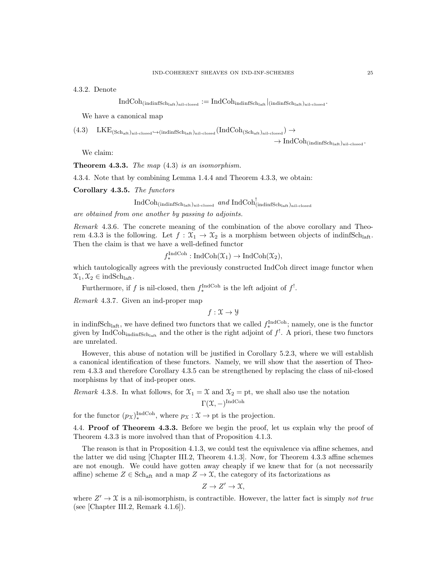4.3.2. Denote

$$
\operatorname{IndCoh}_{(\operatorname{indinfSch}_{\operatorname{laft}})_{\operatorname{nil-closed}}} := \operatorname{IndCoh}_{\operatorname{indinfSch}_{\operatorname{laft}}}|_{(\operatorname{indinfSch}_{\operatorname{laft}})_{\operatorname{nil-closed}}}.
$$

We have a canonical map

$$
(4.3) \quad \mathrm{LKE}_{(\mathrm{Sch}_{\mathrm{aff}})_{\mathrm{nil-closed}} \hookrightarrow (\mathrm{indinfSch}_{\mathrm{laff}})_{\mathrm{nil-closed}} (\mathrm{IndCoh}_{(\mathrm{Sch}_{\mathrm{aff}})_{\mathrm{nil-closed}}}) \rightarrow
$$

 $\rightarrow \operatorname{IndCoh}_{(\operatorname{indinfSch}_{\operatorname{Iaff}})_{\operatorname{nil-closed}}}.$ 

We claim:

**Theorem 4.3.3.** The map  $(4.3)$  is an isomorphism.

4.3.4. Note that by combining Lemma 1.4.4 and Theorem 4.3.3, we obtain:

Corollary 4.3.5. The functors

 $\operatorname{IndCoh}_{(\text{indinfSch}_\text{laff})_{\text{nil-closed}}}$  and  $\operatorname{IndCoh}_{(\text{indinfSch}_\text{laff})_{\text{nil-closed}}}^!$ 

are obtained from one another by passing to adjoints.

Remark 4.3.6. The concrete meaning of the combination of the above corollary and Theorem 4.3.3 is the following. Let  $f : \mathfrak{X}_1 \to \mathfrak{X}_2$  is a morphism between objects of indinfSch<sub>laft</sub>. Then the claim is that we have a well-defined functor

 $f_*^{\text{IndCoh}}: \text{IndCoh}(\mathfrak{X}_1) \to \text{IndCoh}(\mathfrak{X}_2),$ 

which tautologically agrees with the previously constructed IndCoh direct image functor when  $\mathfrak{X}_1, \mathfrak{X}_2 \in \text{indSch}_{\text{laft}}.$ 

Furthermore, if f is nil-closed, then  $f_*^{\text{IndCoh}}$  is the left adjoint of  $f^!$ .

Remark 4.3.7. Given an ind-proper map

 $f: \mathfrak{X} \rightarrow \mathcal{Y}$ 

in indinfSch<sub>laft</sub>, we have defined two functors that we called  $f_*^{\text{IndCoh}}$ ; namely, one is the functor given by IndCoh<sub>indinfSch<sub>laft</sub> and the other is the right adjoint of  $f^!$ . A priori, these two functors</sub> are unrelated.

However, this abuse of notation will be justified in Corollary 5.2.3, where we will establish a canonical identification of these functors. Namely, we will show that the assertion of Theorem 4.3.3 and therefore Corollary 4.3.5 can be strengthened by replacing the class of nil-closed morphisms by that of ind-proper ones.

Remark 4.3.8. In what follows, for  $\mathfrak{X}_1 = \mathfrak{X}$  and  $\mathfrak{X}_2 =$  pt, we shall also use the notation

$$
\Gamma(\mathfrak{X},-)^{\mathrm{IndCoh}}
$$

for the functor  $(p_{\mathcal{X}})_*^{\text{IndCoh}}$ , where  $p_{\mathcal{X}} : \mathcal{X} \to \text{pt}$  is the projection.

4.4. Proof of Theorem 4.3.3. Before we begin the proof, let us explain why the proof of Theorem 4.3.3 is more involved than that of Proposition 4.1.3.

The reason is that in Proposition 4.1.3, we could test the equivalence via affine schemes, and the latter we did using [Chapter III.2, Theorem 4.1.3]. Now, for Theorem 4.3.3 affine schemes are not enough. We could have gotten away cheaply if we knew that for (a not necessarily affine) scheme  $Z \in \text{Sch}_{\text{aff}}$  and a map  $Z \to \mathcal{X}$ , the category of its factorizations as

$$
Z \to Z' \to \mathfrak{X},
$$

where  $Z' \to \mathfrak{X}$  is a nil-isomorphism, is contractible. However, the latter fact is simply not true (see [Chapter III.2, Remark 4.1.6]).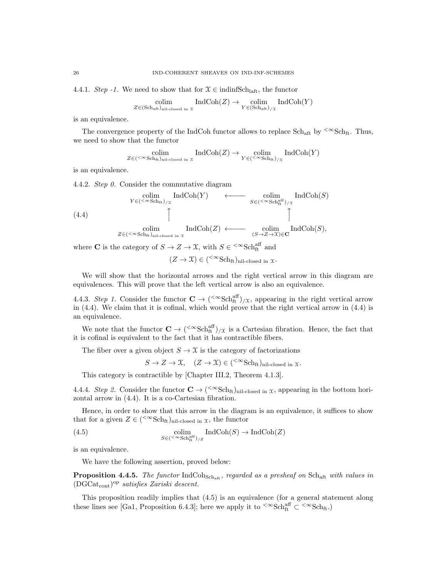4.4.1. Step -1. We need to show that for  $\mathfrak{X} \in \text{indinfSch}_{\text{laff}}$ , the functor

$$
\underset{Z \in (\text{Sch}_{\text{aff}})_{\text{nil-closed in }\mathfrak{X}}}{\text{colim}} \text{IndCoh}(Z) \to \underset{Y \in (\text{Sch}_{\text{aff}}) / \mathfrak{X}}{\text{colim}} \text{IndCoh}(Y)
$$

is an equivalence.

The convergence property of the IndCoh functor allows to replace  $Sch_{\text{aft}}$  by  $\leq \infty Sch_{\text{ft}}$ . Thus, we need to show that the functor

$$
\underset{Z \in (\leq \infty \text{Sch}_{\text{ft}})_{\text{nil-closed in } X}}{\text{colim}} \text{IndCoh}(Z) \to \underset{Y \in (\leq \infty \text{Sch}_{\text{ft}}) / X}{\text{colim}} \text{IndCoh}(Y)
$$

is an equivalence.

4.4.2. Step 0. Consider the commutative diagram

$$
\begin{array}{ccc}\n\text{colim} & \text{IndCoh}(Y) & \longleftarrow & \text{colim} & \text{IndCoh}(S) \\
\text{(4.4)} & \uparrow & \text{codim} & \text{IndCoh}(Z) & \longleftarrow & \text{colim} & \text{IndCoh}(S) \\
& & \uparrow & \uparrow & \uparrow & \uparrow & \uparrow \\
& & \text{colim} & \text{IndCoh}(Z) & \longleftarrow & \text{colim} & \text{IndCoh}(S), \\
& Z \in (\langle \infty, \text{Sch}_{\text{ft}} \rangle_{\text{nil-closed in } X}) & \text{IndCoh}(Z) & \longleftarrow & \text{colim} & \text{IndCoh}(S),\n\end{array}
$$

where **C** is the category of  $S \to Z \to \mathcal{X}$ , with  $S \in \text{&}\infty$ Schaff and

$$
(Z \to \mathfrak{X}) \in ({}^{<\infty}Sch_{ft})_{nil-closed in \mathfrak{X}}.
$$

We will show that the horizontal arrows and the right vertical arrow in this diagram are equivalences. This will prove that the left vertical arrow is also an equivalence.

4.4.3. Step 1. Consider the functor  $\mathbf{C} \to (\mathbf{C}^{\infty} \text{Sch}^{\text{aff}}_{\text{ft}})_{/\mathfrak{X}}$ , appearing in the right vertical arrow in (4.4). We claim that it is cofinal, which would prove that the right vertical arrow in (4.4) is an equivalence.

We note that the functor  $\mathbf{C} \to (\text{&Sch}_{ft}^{\text{aff}})_{/\mathfrak{X}}$  is a Cartesian fibration. Hence, the fact that it is cofinal is equivalent to the fact that it has contractible fibers.

The fiber over a given object  $S \to \mathfrak{X}$  is the category of factorizations

 $S \to Z \to \mathfrak{X}$ ,  $(Z \to \mathfrak{X}) \in (\mathbb{C}^\infty \text{Sch}_\text{ft})_{\text{nil-closed in }\mathfrak{X}}$ .

This category is contractible by [Chapter III.2, Theorem 4.1.3].

4.4.4. Step 2. Consider the functor  $\mathbf{C} \to (\leq \mathrm{Sch}_{\mathrm{ft}})_{\mathrm{nil-closed in}} x$ , appearing in the bottom horizontal arrow in (4.4). It is a co-Cartesian fibration.

Hence, in order to show that this arrow in the diagram is an equivalence, it suffices to show that for a given  $Z \in ({}^{<\infty}Sch_{ft})_{\text{nil-closed in }\mathcal{X}}$ , the functor

(4.5) 
$$
\underset{S \in (\langle \infty, \text{Sch}_{\text{ft}}^{\text{aff}}) / Z}{\text{colim}} \operatorname{IndCoh}(S) \to \operatorname{IndCoh}(Z)
$$

is an equivalence.

We have the following assertion, proved below:

**Proposition 4.4.5.** The functor  $IndCoh_{Sch_{aff}}$ , regarded as a presheaf on  $Sch_{aff}$  with values in (DGCatcont) op satisfies Zariski descent.

This proposition readily implies that (4.5) is an equivalence (for a general statement along these lines see [Ga1, Proposition 6.4.3]; here we apply it to <sup> $< \infty$ </sup>Sch<sub>ft</sub> $\subset$ <sup>{ $\infty$ </sup>Sch<sub>ft</sub>})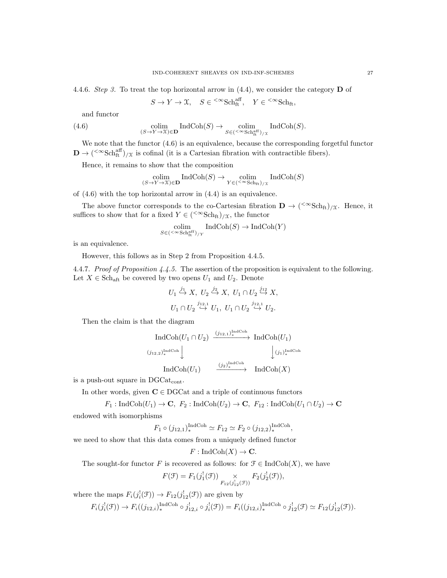4.4.6. Step 3. To treat the top horizontal arrow in  $(4.4)$ , we consider the category **D** of

 $S \to Y \to \mathfrak{X}, \quad S \in \left\{^{\infty} \text{Sch}_{\text{ft}}^{\text{aff}}, \quad Y \in \left\{^{\infty} \text{Sch}_{\text{ft}}, \right\}$ 

and functor

(4.6) 
$$
\underset{(S \to Y \to \mathfrak{X}) \in \mathbf{D}}{\text{colim}} \text{IndCoh}(S) \to \underset{S \in (\leq \infty \text{Sch}_{\text{ft}}^{\text{aff}}) / \mathfrak{X}}{\text{colim}} \text{IndCoh}(S).
$$

We note that the functor (4.6) is an equivalence, because the corresponding forgetful functor  $\mathbf{D} \to {\text{( $\infty}Set}_{\text{ft}}^{\text{aff}})/\chi$  is cofinal (it is a Cartesian fibration with contractible fibers).$ 

Hence, it remains to show that the composition

$$
\underset{(S\rightarrow Y\rightarrow \mathfrak{X})\in \mathbf{D}}{\operatorname{Colim}}\operatorname{IndCoh}(S)\rightarrow \underset{Y\in (\mathbb{C}^{\infty}\operatorname{Sch}_{\operatorname{ft}})/\mathfrak{X}}{\operatorname{colim}}\operatorname{IndCoh}(S)
$$

of (4.6) with the top horizontal arrow in (4.4) is an equivalence.

The above functor corresponds to the co-Cartesian fibration  $\mathbf{D} \to (\leq \mathrm{sch}_{\mathrm{ft}})_{/\mathfrak{X}}$ . Hence, it suffices to show that for a fixed  $Y \in (\langle \infty \text{Sch}_{ft} \rangle_{X},$  the functor

$$
\underset{S \in (\mathbf{<}\infty \operatorname{Sch}^{\operatorname{aff}}_{\operatorname{ft}}) / \operatorname{Y}}{\operatorname{IndCoh}}(S) \to \operatorname{IndCoh}(Y)
$$

is an equivalence.

However, this follows as in Step 2 from Proposition 4.4.5.

4.4.7. Proof of Proposition 4.4.5. The assertion of the proposition is equivalent to the following. Let  $X \in \text{Sch}_{\text{aff}}$  be covered by two opens  $U_1$  and  $U_2$ . Denote

$$
U_1 \stackrel{j_1}{\hookrightarrow} X, U_2 \stackrel{j_2}{\hookrightarrow} X, U_1 \cap U_2 \stackrel{j_{12}}{\hookrightarrow} X,
$$
  

$$
U_1 \cap U_2 \stackrel{j_{12,1}}{\hookrightarrow} U_1, U_1 \cap U_2 \stackrel{j_{12,1}}{\hookrightarrow} U_2.
$$

Then the claim is that the diagram

$$
\operatorname{IndCoh}(U_1 \cap U_2) \xrightarrow{(j_{12,1})_*^{\operatorname{IndCoh}}} \operatorname{IndCoh}(U_1)
$$
\n
$$
\xrightarrow{(j_{12,2})_*^{\operatorname{IndCoh}}} \downarrow^{\operatorname{IndCoh}} \downarrow^{\operatorname{indCoh}} \downarrow^{\operatorname{indCoh}(U_1)}
$$
\n
$$
\operatorname{IndCoh}(U_1) \xrightarrow{\qquad (j_2)_*^{\operatorname{IndCoh}}} \operatorname{IndCoh}(X)
$$

is a push-out square in DGCat<sub>cont</sub>.

In other words, given  $C \in DGCat$  and a triple of continuous functors

$$
F_1: \text{IndCoh}(U_1) \to \mathbf{C}, \ F_2: \text{IndCoh}(U_2) \to \mathbf{C}, \ F_{12}: \text{IndCoh}(U_1 \cap U_2) \to \mathbf{C}
$$

endowed with isomorphisms

$$
F_1 \circ (j_{12,1})_*^{\text{IndCoh}} \simeq F_{12} \simeq F_2 \circ (j_{12,2})_*^{\text{IndCoh}},
$$

we need to show that this data comes from a uniquely defined functor

$$
F: \mathrm{IndCoh}(X) \to \mathbf{C}.
$$

The sought-for functor F is recovered as follows: for  $\mathcal{F} \in \text{IndCoh}(X)$ , we have

$$
F(\mathcal{F}) = F_1(j_1^!(\mathcal{F})) \underset{F_{12}(j_1^!(\mathcal{F}))}{\times} F_2(j_2^!(\mathcal{F})),
$$

where the maps  $F_i(j_i^!(\mathcal{F})) \to F_{12}(j_{12}^!(\mathcal{F}))$  are given by

$$
F_i(j_i^!(\mathcal{F})) \to F_i((j_{12,i})_*^{\text{IndCoh}} \circ j_{12,i}^! \circ j_i^!(\mathcal{F})) = F_i((j_{12,i})_*^{\text{IndCoh}} \circ j_{12}^! (\mathcal{F}) \simeq F_{12}(j_{12}^!(\mathcal{F})).
$$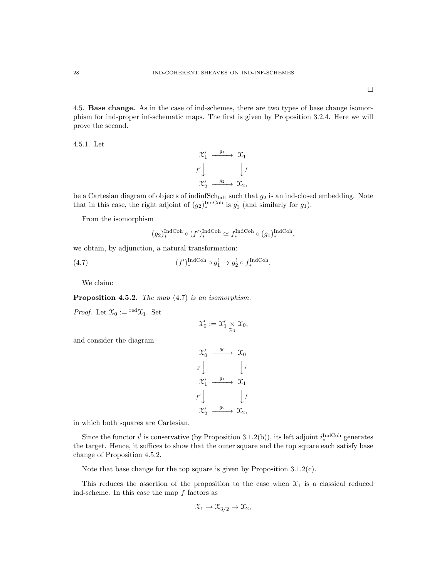4.5. Base change. As in the case of ind-schemes, there are two types of base change isomorphism for ind-proper inf-schematic maps. The first is given by Proposition 3.2.4. Here we will prove the second.

4.5.1. Let

$$
\begin{array}{ccc}\n\mathfrak{X}'_1 & \xrightarrow{g_1} & \mathfrak{X}_1 \\
f' \downarrow & & \downarrow f \\
\mathfrak{X}'_2 & \xrightarrow{g_2} & \mathfrak{X}_2,\n\end{array}
$$

be a Cartesian diagram of objects of indinfSch<sub>laft</sub> such that  $g_2$  is an ind-closed embedding. Note that in this case, the right adjoint of  $(g_2)^{\text{IndCoh}}_*$  is  $g_2^!$  (and similarly for  $g_1$ ).

From the isomorphism

$$
(g_2)_*^{\text{IndCoh}} \circ (f')_*^{\text{IndCoh}} \simeq f_*^{\text{IndCoh}} \circ (g_1)_*^{\text{IndCoh}},
$$

we obtain, by adjunction, a natural transformation:

(4.7) 
$$
(f')_*^{\text{IndCoh}} \circ g_1^! \to g_2^! \circ f_*^{\text{IndCoh}}.
$$

We claim:

Proposition 4.5.2. The map  $(4.7)$  is an isomorphism.

*Proof.* Let  $\mathfrak{X}_0 := {}^{\text{red}} \mathfrak{X}_1$ . Set

$$
\mathfrak{X}'_0 := \mathfrak{X}'_1 \underset{\mathfrak{X}_1}{\times} \mathfrak{X}_0,
$$

and consider the diagram

$$
\begin{array}{ccc}\n\mathfrak{X}'_0 & \xrightarrow{g_0} & \mathfrak{X}_0 \\
i' & & \downarrow i \\
\mathfrak{X}'_1 & \xrightarrow{g_1} & \mathfrak{X}_1 \\
f' & & \downarrow f \\
\mathfrak{X}'_2 & \xrightarrow{g_2} & \mathfrak{X}_2\n\end{array}
$$

in which both squares are Cartesian.

Since the functor  $i^!$  is conservative (by Proposition 3.1.2(b)), its left adjoint  $i^{\text{IndCoh}}_*$  generates the target. Hence, it suffices to show that the outer square and the top square each satisfy base change of Proposition 4.5.2.

Note that base change for the top square is given by Proposition  $3.1.2(c)$ .

This reduces the assertion of the proposition to the case when  $\mathfrak{X}_1$  is a classical reduced ind-scheme. In this case the map  $f$  factors as

$$
\mathfrak{X}_1 \to \mathfrak{X}_{3/2} \to \mathfrak{X}_2,
$$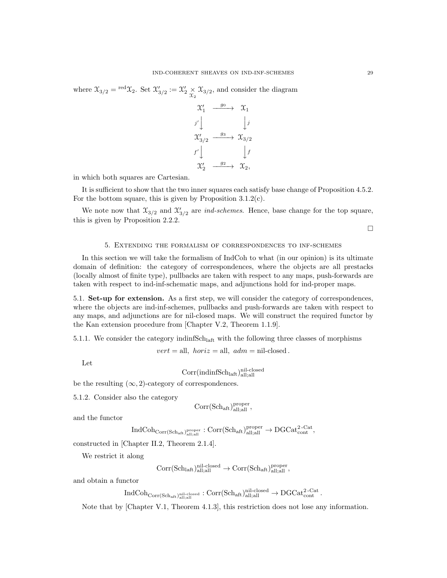where  $\mathfrak{X}_{3/2} = \text{red}\mathfrak{X}_2$ . Set  $\mathfrak{X}'_{3/2} := \mathfrak{X}'_2 \times \mathfrak{X}_{3/2}$ , and consider the diagram

$$
\begin{array}{ccc}\n\mathfrak{X}'_1 & \xrightarrow{g_0} & \mathfrak{X}_1 \\
\downarrow j' & & \downarrow j \\
\mathfrak{X}'_{3/2} & \xrightarrow{g_3} & \mathfrak{X}_{3/2} \\
f' & & \downarrow f \\
\mathfrak{X}'_2 & \xrightarrow{g_2} & \mathfrak{X}_2,\n\end{array}
$$

in which both squares are Cartesian.

It is sufficient to show that the two inner squares each satisfy base change of Proposition 4.5.2. For the bottom square, this is given by Proposition 3.1.2(c).

We note now that  $\mathfrak{X}_{3/2}$  and  $\mathfrak{X}'_{3/2}$  are *ind-schemes*. Hence, base change for the top square, this is given by Proposition 2.2.2.

 $\Box$ 

# 5. Extending the formalism of correspondences to inf-schemes

In this section we will take the formalism of IndCoh to what (in our opinion) is its ultimate domain of definition: the category of correspondences, where the objects are all prestacks (locally almost of finite type), pullbacks are taken with respect to any maps, push-forwards are taken with respect to ind-inf-schematic maps, and adjunctions hold for ind-proper maps.

5.1. Set-up for extension. As a first step, we will consider the category of correspondences, where the objects are ind-inf-schemes, pullbacks and push-forwards are taken with respect to any maps, and adjunctions are for nil-closed maps. We will construct the required functor by the Kan extension procedure from [Chapter V.2, Theorem 1.1.9].

5.1.1. We consider the category indinf $Sch<sub>latt</sub>$  with the following three classes of morphisms

 $vert =$ all,  $horiz =$ all,  $adm =$ nil-closed.

Let

 $Corr(indinfSch<sub>laff</sub>)<sub>all;all</sub><sub>all</sub>$ 

be the resulting  $(\infty, 2)$ -category of correspondences.

5.1.2. Consider also the category

$$
\mathrm{Corr}(\mathrm{Sch}_\mathrm{aft})^\mathrm{proper}_\mathrm{all;all},
$$

and the functor

 $\mathrm{IndCoh}_{\mathrm{Corr}(\mathrm{Sch}_{\mathrm{aft}})_{\mathrm{all;all}}^{\mathrm{proper}}} : \mathrm{Corr}(\mathrm{Sch}_{\mathrm{aft}})_{\mathrm{all;all}}^{\mathrm{proper}} \to \mathrm{DGCat}_{\mathrm{cont}}^{2\text{-Cat}},$ 

constructed in [Chapter II.2, Theorem 2.1.4].

We restrict it along

$$
\rm Corr(Sch_{latt})_{all;all}^{nil\text{-closed}}\rightarrow \rm Corr(Sch_{aft})_{all;all}^{proper},
$$

and obtain a functor

$$
\operatorname{IndCoh}_{\operatorname{Corr}(\operatorname{Sch}_{\operatorname{aff}})_{\operatorname{all;all}}^{\operatorname{nil-closed}}}:\operatorname{Corr}(\operatorname{Sch}_{\operatorname{aff}})_{\operatorname{all;all}}^{\operatorname{nil-closed}}\to \operatorname{DGCat}_{\operatorname{cont}}^{\operatorname{2-Cat}}.
$$

Note that by [Chapter V.1, Theorem 4.1.3], this restriction does not lose any information.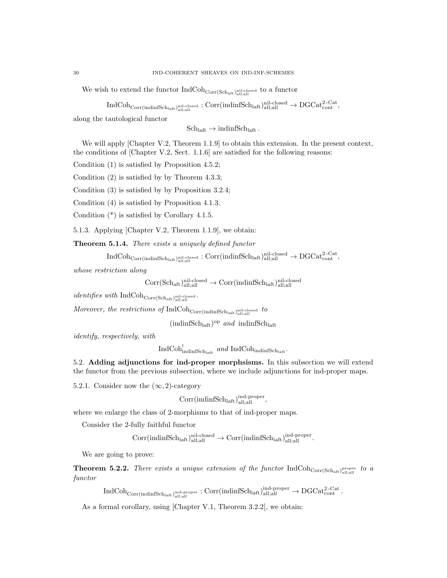We wish to extend the functor  $\rm IndCoh_{Corr(Sch_{aff})}^{nil{\rm \,\,closed\,\,}~}$  to a functor

 $\mathrm{IndCoh}_{\mathrm{Corr}(\mathrm{indinfSch}_{\mathrm{laff}}, \mathrm{all}_{\mathrm{rall}})} \mathrm{inil\text{-}closed}_{\mathrm{all}_{\mathrm{rall}}} : \mathrm{Corr}(\mathrm{indinfSch}_{\mathrm{laff}}, \mathrm{ball}_{\mathrm{rall}}) \to \mathrm{DGCat}_{\mathrm{cont}}^{\mathrm{2-Cat}},$ 

along the tautological functor

 $Sch<sub>laff</sub> \rightarrow indinfSch<sub>laff</sub>$ .

We will apply [Chapter V.2, Theorem 1.1.9] to obtain this extension. In the present context, the conditions of [Chapter V.2, Sect. 1.1.6] are satisfied for the following reasons:

Condition (1) is satisfied by Proposition 4.5.2;

Condition (2) is satisfied by by Theorem 4.3.3;

Condition (3) is satisfied by by Proposition 3.2.4;

Condition (4) is satisfied by Proposition 4.1.3.

Condition (\*) is satisfied by Corollary 4.1.5.

5.1.3. Applying [Chapter V.2, Theorem 1.1.9], we obtain:

Theorem 5.1.4. There exists a uniquely defined functor

 $\mathrm{IndCoh}_{\mathrm{Corr}(\mathrm{indinfSch}_{\mathrm{laff}}, \mathrm{all}_{\mathrm{rall}})} \mathrm{inil\text{-}closed} : \mathrm{Corr}(\mathrm{indinfSch}_{\mathrm{laff}}, \mathrm{ball}_{\mathrm{rall}}) \to \mathrm{DGCat}_{\mathrm{cont}}^{\mathrm{2-Cat}},$ 

whose restriction along

$$
\rm Corr(Sch_{aft})_{all;all}^{nil-closed} \rightarrow \rm Corr(indinfSch_{laff})_{all;all}^{nil-closed}
$$

 $identity the *with* IndCoh<sub>Corr(Sch<sub>aff</sub>)</sub> <sub>all;all</sub> closed.$ 

Moreover, the restrictions of  $\operatorname{IndCoh}_{\text{Corr}(\text{indinfSch}_{\text{latt}})_{\text{all;all}}}$  to

 $(\text{indinfSch}_{\text{laff}})^{\text{op}}$  and indinfSch<sub>laft</sub>

identify, respectively, with

 $\mathrm{IndCoh}_{\mathrm{indinfSch}_{\mathrm{laff}}}^!$  and  $\mathrm{IndCoh}_{\mathrm{indinfSch}_{\mathrm{laff}}}$ .

5.2. Adding adjunctions for ind-proper morphsisms. In this subsection we will extend the functor from the previous subsection, where we include adjunctions for ind-proper maps.

5.2.1. Consider now the  $(\infty, 2)$ -category

$$
\mathrm{Corr}(\mathrm{indinfSch}_{\mathrm{laft}})_{\mathrm{all;all}}^{\mathrm{ind\textrm{-}proper}},
$$

where we enlarge the class of 2-morphisms to that of ind-proper maps.

Consider the 2-fully faithful functor

$$
\mathrm{Corr}(\mathrm{indinfSch}_\mathrm{laff})^\mathrm{nil\text{-}closed}_\mathrm{all;all}\rightarrow \mathrm{Corr}(\mathrm{indinfSch}_\mathrm{laff})^\mathrm{ind\text{-}proper}_\mathrm{all;all}
$$

We are going to prove:

**Theorem 5.2.2.** There exists a unique extension of the functor  $IndCoh_{Corr(Sch_{aff})}$ <sub>proper</sub> to a functor

 $\mathrm{IndCoh}_{\mathrm{Corr}(\mathrm{indinfSch}_{\mathrm{laf}})_{\mathrm{all};\mathrm{all}}^{\mathrm{ind}\text{-}proper}}: \mathrm{Corr}(\mathrm{indinfSch}_{\mathrm{laft}})_{\mathrm{all};\mathrm{all}}^{\mathrm{ind}\text{-}proper}\to \mathrm{DGCat}_{\mathrm{cont}}^{2\text{-Cat}}.$ 

As a formal corollary, using [Chapter V.1, Theorem 3.2.2], we obtain: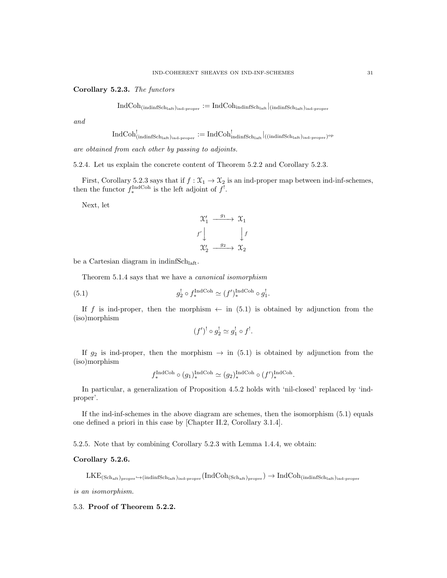# Corollary 5.2.3. The functors

 $\operatorname{IndCoh}_{(\text{indinfSch}_{\text{laff}})_{\text{ind-proper}}} := \operatorname{IndCoh}_{\text{indinfSch}_{\text{laff}}}|_{(\text{indinfSch}_{\text{laff}})_{\text{ind-proper}}}$ 

and

$$
\mathrm{IndCoh}^!_{(\mathrm{indinfSch}_\mathrm{laff})_\mathrm{ind\text{-}proper}}:=\mathrm{IndCoh}^!_{\mathrm{indinfSch}_\mathrm{laff}}|_{((\mathrm{indinfSch}_\mathrm{laff})_\mathrm{ind\text{-}proper})^\mathrm{op}}
$$

are obtained from each other by passing to adjoints.

5.2.4. Let us explain the concrete content of Theorem 5.2.2 and Corollary 5.2.3.

First, Corollary 5.2.3 says that if  $f : \mathfrak{X}_1 \to \mathfrak{X}_2$  is an ind-proper map between ind-inf-schemes, then the functor  $f_*^{\text{IndCoh}}$  is the left adjoint of  $f^!$ .

Next, let

$$
\begin{array}{ccc}\n\mathfrak{X}'_1 & \xrightarrow{g_1} & \mathfrak{X}_1 \\
f' \downarrow & & \downarrow f \\
\mathfrak{X}'_2 & \xrightarrow{g_2} & \mathfrak{X}_2\n\end{array}
$$

be a Cartesian diagram in indinf $Sch<sub>laff</sub>$ .

Theorem 5.1.4 says that we have a canonical isomorphism

(5.1) 
$$
g_2^! \circ f_*^{\text{IndCoh}} \simeq (f')_*^{\text{IndCoh}} \circ g_1^!.
$$

If f is ind-proper, then the morphism  $\leftarrow$  in (5.1) is obtained by adjunction from the (iso)morphism

$$
(f')^! \circ g_2^! \simeq g_1^! \circ f^!.
$$

If  $g_2$  is ind-proper, then the morphism  $\rightarrow$  in (5.1) is obtained by adjunction from the (iso)morphism

$$
f_*^{\text{IndCoh}} \circ (g_1)_*^{\text{IndCoh}} \simeq (g_2)_*^{\text{IndCoh}} \circ (f')_*^{\text{IndCoh}}.
$$

In particular, a generalization of Proposition 4.5.2 holds with 'nil-closed' replaced by 'indproper'.

If the ind-inf-schemes in the above diagram are schemes, then the isomorphism (5.1) equals one defined a priori in this case by [Chapter II.2, Corollary 3.1.4].

5.2.5. Note that by combining Corollary 5.2.3 with Lemma 1.4.4, we obtain:

# Corollary 5.2.6.

 $\text{LKE}_{(\text{Sch}_\text{aff})_{\text{proper}}\rightarrow \text{(indimfsch}_\text{laff})_{\text{ind-proper}}}(\text{IndCoh}_{(\text{Sch}_\text{aff})_{\text{proper}}}) \rightarrow \text{IndCoh}_{(\text{indimfsch}_\text{laff})_{\text{ind-proper}}}$ 

is an isomorphism.

# 5.3. Proof of Theorem 5.2.2.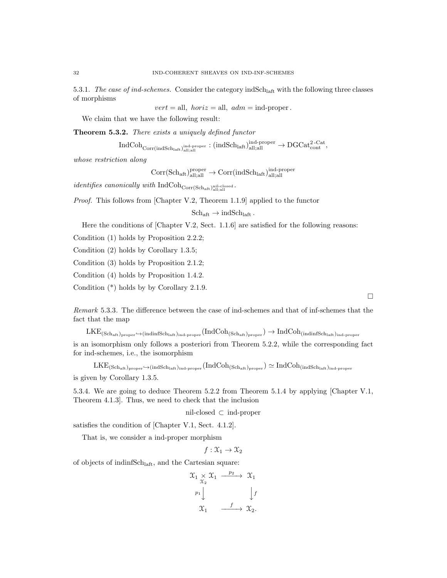5.3.1. The case of ind-schemes. Consider the category indSch<sub>laft</sub> with the following three classes of morphisms

 $vert = \text{all}, \; horiz = \text{all}, \; adm = \text{ind-proper}.$ 

We claim that we have the following result:

Theorem 5.3.2. There exists a uniquely defined functor

 $\mathrm{IndCoh}_{\mathrm{Corr}(\mathrm{indSch}_\mathrm{laff})_{\mathrm{all};\mathrm{all}}^{\mathrm{ind}}}\colon(\mathrm{indSch}_\mathrm{laff})_{\mathrm{all};\mathrm{all}}^{\mathrm{ind-proper}}\to \mathrm{DGCat}_{\mathrm{cont}}^{2\text{-Cat}},$ 

whose restriction along

 $\text{Corr}(\text{Sch}_{\text{aff}})_{\text{all;all}}^{\text{proper}} \to \text{Corr}(\text{indSch}_{\text{laff}})_{\text{all;all}}^{\text{ind-proper}}$ 

identifies canonically with  $\mathrm{IndCoh}_{\mathrm{Corr}(\mathrm{Sch}_\mathrm{aff})}$  all<sub>call</sub>

Proof. This follows from [Chapter V.2, Theorem 1.1.9] applied to the functor

 $Sch_{\text{aft}} \to \text{indSch}_{\text{laft}}$ .

Here the conditions of [Chapter V.2, Sect. 1.1.6] are satisfied for the following reasons:

Condition (1) holds by Proposition 2.2.2;

Condition (2) holds by Corollary 1.3.5;

Condition (3) holds by Proposition 2.1.2;

Condition (4) holds by Proposition 1.4.2.

Condition (\*) holds by by Corollary 2.1.9.

Remark 5.3.3. The difference between the case of ind-schemes and that of inf-schemes that the fact that the map

 $\rm LKE_{(Schaff.)_{proper} \hookrightarrow (indinfSch_{laff.)_{ind-proper}} (IndCol_{(Sch_{aff})_{proper}}) \rightarrow IndCol_{(indinfSch_{laff.)_{ind-proper}}})$ is an isomorphism only follows a posteriori from Theorem 5.2.2, while the corresponding fact for ind-schemes, i.e., the isomorphism

 $\text{LKE}_{(\text{Sch}_\text{aff})_{\text{proper}} \hookrightarrow (\text{indSch}_\text{leaf})_{\text{ind-proper}} } (\text{IndCoh}_{(\text{Sch}_\text{aff})_{\text{proper}}}) \simeq \text{IndCoh}_{(\text{indSch}_\text{leaf})_{\text{ind-proper}}}$ 

is given by Corollary 1.3.5.

5.3.4. We are going to deduce Theorem 5.2.2 from Theorem 5.1.4 by applying [Chapter V.1, Theorem 4.1.3]. Thus, we need to check that the inclusion

nil-closed ⊂ ind-proper

satisfies the condition of [Chapter V.1, Sect. 4.1.2].

That is, we consider a ind-proper morphism

 $f: \mathfrak{X}_1 \rightarrow \mathfrak{X}_2$ 

of objects of indinfSchlaft, and the Cartesian square:

$$
\begin{array}{ccc}\n\mathfrak{X}_{1} \times \mathfrak{X}_{1} & \xrightarrow{p_{2}} & \mathfrak{X}_{1} \\
\downarrow^{p_{1}} & & \downarrow^{f} \\
\mathfrak{X}_{1} & \xrightarrow{f} & \mathfrak{X}_{2}.\n\end{array}
$$

 $\Box$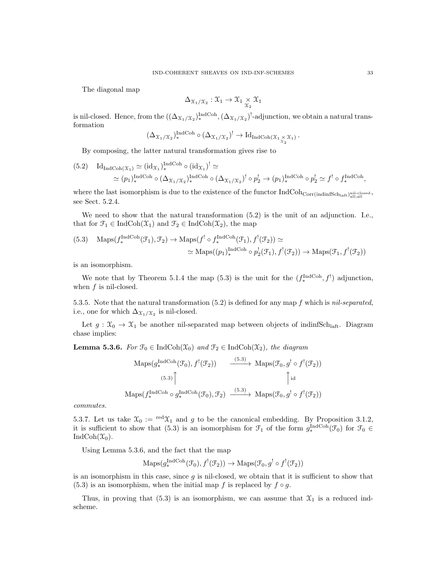The diagonal map

$$
\Delta_{\mathfrak{X}_1/\mathfrak{X}_2}:\mathfrak{X}_1\to\mathfrak{X}_1\underset{\mathfrak{X}_2}{\times}\mathfrak{X}_1
$$

is nil-closed. Hence, from the  $((\Delta_{\mathfrak{X}_1/\mathfrak{X}_2})_*^{\text{IndCoh}}, (\Delta_{\mathfrak{X}_1/\mathfrak{X}_2})_*^{\text{IndCoh}})$  adjunction, we obtain a natural transformation

$$
(\Delta_{\mathfrak{X}_1/\mathfrak{X}_2})_{*}^{\operatorname{IndCoh}} \circ (\Delta_{\mathfrak{X}_1/\mathfrak{X}_2})^! \to \operatorname{Id}_{\operatorname{IndCoh}(\mathfrak{X}_1 \underset{\mathfrak{X}_2}{\times} \mathfrak{X}_1)}.
$$

By composing, the latter natural transformation gives rise to

$$
(5.2) \quad \mathrm{Id}_{\mathrm{IndCoh}(\mathfrak{X}_1)} \simeq (\mathrm{id}_{\mathfrak{X}_1})^{\mathrm{IndCoh}}_* \circ (\mathrm{id}_{\mathfrak{X}_1})^! \simeq
$$
  

$$
\simeq (p_1)^{\mathrm{IndCoh}}_* \circ (\Delta_{\mathfrak{X}_1/\mathfrak{X}_2})^{\mathrm{IndCoh}}_* \circ (\Delta_{\mathfrak{X}_1/\mathfrak{X}_2})^! \circ p_2^! \to (p_1)^{\mathrm{IndCoh}}_* \circ p_2^! \simeq f^! \circ f_*^{\mathrm{IndCoh}},
$$

where the last isomorphism is due to the existence of the functor  $\rm IndCoh_{Corr (indinfSch<sub>laf</sub>)<sub>all;all</sub>$ see Sect. 5.2.4.

We need to show that the natural transformation (5.2) is the unit of an adjunction. I.e., that for  $\mathcal{F}_1 \in \text{IndCoh}(\mathcal{X}_1)$  and  $\mathcal{F}_2 \in \text{IndCoh}(\mathcal{X}_2)$ , the map

(5.3) 
$$
\operatorname{Maps}(f_*^{\operatorname{IndCoh}}(\mathcal{F}_1), \mathcal{F}_2) \to \operatorname{Maps}(f^! \circ f_*^{\operatorname{IndCoh}}(\mathcal{F}_1), f^!(\mathcal{F}_2)) \simeq
$$

$$
\simeq \operatorname{Maps}((p_1)_*^{\operatorname{IndCoh}} \circ p_2^!(\mathcal{F}_1), f^!(\mathcal{F}_2)) \to \operatorname{Maps}(\mathcal{F}_1, f^!(\mathcal{F}_2))
$$

is an isomorphism.

We note that by Theorem 5.1.4 the map (5.3) is the unit for the  $(f_*^{\text{IndCoh}}, f')$  adjunction, when f is nil-closed.

5.3.5. Note that the natural transformation  $(5.2)$  is defined for any map f which is nil-separated, i.e., one for which  $\Delta_{\mathfrak{X}_1/\mathfrak{X}_2}$  is nil-closed.

Let  $g: \mathfrak{X}_0 \to \mathfrak{X}_1$  be another nil-separated map between objects of indinfSch<sub>laft</sub>. Diagram chase implies:

**Lemma 5.3.6.** For  $\mathcal{F}_0 \in \text{IndCoh}(\mathcal{X}_0)$  and  $\mathcal{F}_2 \in \text{IndCoh}(\mathcal{X}_2)$ , the diagram

$$
\begin{array}{ccc}\n\text{Maps}(g_{*}^{\text{IndCoh}}(\mathcal{F}_{0}), f^{!}(\mathcal{F}_{2})) & \xrightarrow{(5.3)} \text{Maps}(\mathcal{F}_{0}, g^{!} \circ f^{!}(\mathcal{F}_{2})) \\
\downarrow^{(5.3)} & \uparrow^{(5.3)} \\
\text{Maps}(f_{*}^{\text{IndCoh}} \circ g_{*}^{\text{IndCoh}}(\mathcal{F}_{0}), \mathcal{F}_{2}) & \xrightarrow{(5.3)} \text{Maps}(\mathcal{F}_{0}, g^{!} \circ f^{!}(\mathcal{F}_{2}))\n\end{array}
$$

commutes.

5.3.7. Let us take  $\mathfrak{X}_0 := {}^{\text{red}} \mathfrak{X}_1$  and g to be the canonical embedding. By Proposition 3.1.2, it is sufficient to show that (5.3) is an isomorphism for  $\mathcal{F}_1$  of the form  $g_*^{\text{IndCoh}}(\mathcal{F}_0)$  for  $\mathcal{F}_0 \in$ IndCoh $(\mathfrak{X}_0)$ .

Using Lemma 5.3.6, and the fact that the map

$$
\mathrm{Maps}(g_*^{\mathrm{IndCoh}}(\mathcal{F}_0), f^{!}(\mathcal{F}_2)) \to \mathrm{Maps}(\mathcal{F}_0, g^{!} \circ f^{!}(\mathcal{F}_2))
$$

is an isomorphism in this case, since  $g$  is nil-closed, we obtain that it is sufficient to show that (5.3) is an isomorphism, when the initial map f is replaced by  $f \circ g$ .

Thus, in proving that (5.3) is an isomorphism, we can assume that  $\mathfrak{X}_1$  is a reduced indscheme.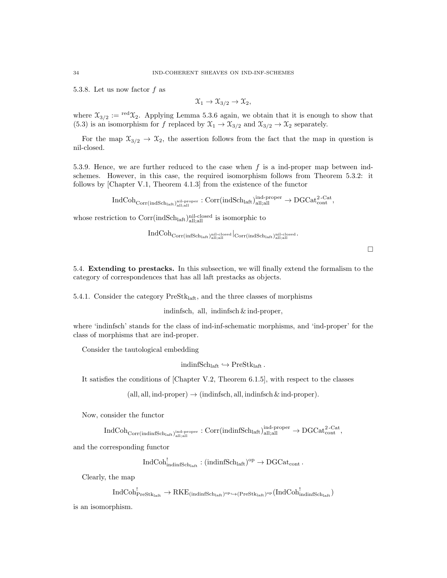5.3.8. Let us now factor f as

$$
\mathfrak{X}_1 \to \mathfrak{X}_{3/2} \to \mathfrak{X}_2,
$$

where  $\mathfrak{X}_{3/2} := {}^{\text{red}}\mathfrak{X}_2$ . Applying Lemma 5.3.6 again, we obtain that it is enough to show that (5.3) is an isomorphism for f replaced by  $\mathfrak{X}_1 \to \mathfrak{X}_{3/2}$  and  $\mathfrak{X}_{3/2} \to \mathfrak{X}_2$  separately.

For the map  $\mathfrak{X}_{3/2} \to \mathfrak{X}_2$ , the assertion follows from the fact that the map in question is nil-closed.

5.3.9. Hence, we are further reduced to the case when  $f$  is a ind-proper map between indschemes. However, in this case, the required isomorphism follows from Theorem 5.3.2: it follows by [Chapter V.1, Theorem 4.1.3] from the existence of the functor

 $\mathrm{IndCoh}_{\mathrm{Corr}(\mathrm{indSch}_\mathrm{laff,all})}$ nil-proper :  $\mathrm{Corr}(\mathrm{indSch}_\mathrm{laff,all})$ all;all  $\rightarrow \mathrm{DGCat}_{\mathrm{cont}}^{\text{2-Cat}},$ 

whose restriction to  $Corr(indSch<sub>latt</sub>)<sub>all;all</sub><sub>all</sub>$  is isomorphic to

 $\operatorname{IndCoh}_{\text{Corr}(\text{infSch}_\text{laff}, \text{all}^\text{nil-closed}}|_{\text{Corr}(\text{indSch}_\text{laff}, \text{all}^\text{nil-closed}}.$ 

 $\Box$ 

5.4. Extending to prestacks. In this subsection, we will finally extend the formalism to the category of correspondences that has all laft prestacks as objects.

5.4.1. Consider the category  $PreStk<sub>laff</sub>$ , and the three classes of morphisms

indinfsch, all, indinfsch & ind-proper,

where 'indinfsch' stands for the class of ind-inf-schematic morphisms, and 'ind-proper' for the class of morphisms that are ind-proper.

Consider the tautological embedding

 $indinfSch<sub>laff</sub> \hookrightarrow PreStk<sub>laff</sub>$ .

It satisfies the conditions of [Chapter V.2, Theorem 6.1.5], with respect to the classes

 $(\text{all}, \text{all}, \text{ind-proper}) \rightarrow (\text{indinfsch}, \text{all}, \text{indinfsch} \& \text{ind-proper}).$ 

Now, consider the functor

 $\mathrm{IndCoh}_{\mathrm{Corr}(\mathrm{indinfSch}_{\mathrm{laf}},\mathrm{all};\mathrm{all})}:\mathrm{Corr}(\mathrm{indinfSch}_{\mathrm{laft}})_{\mathrm{all};\mathrm{all}}^{\mathrm{ind-proper}}\to \mathrm{DGCat}_{\mathrm{cont}}^{\mathrm{2-Cat}},$ 

and the corresponding functor

 $\text{IndCoh}_{\text{indinfSch}_{\text{laff}}}^{!} : (\text{indinfSch}_{\text{laff}})^{\text{op}} \to \text{DGCat}_{\text{cont}}$ .

Clearly, the map

 $\mathrm{IndCoh}_{\mathrm{PreStk}_\mathrm{laff}}^! \rightarrow \mathrm{RKE}_{(\mathrm{indinfSch}_\mathrm{laff})^\mathrm{op} \hookrightarrow (\mathrm{PreStk}_\mathrm{laff})^\mathrm{op}} (\mathrm{IndCoh}_{\mathrm{indinfSch}_\mathrm{laff}}^!)$ 

is an isomorphism.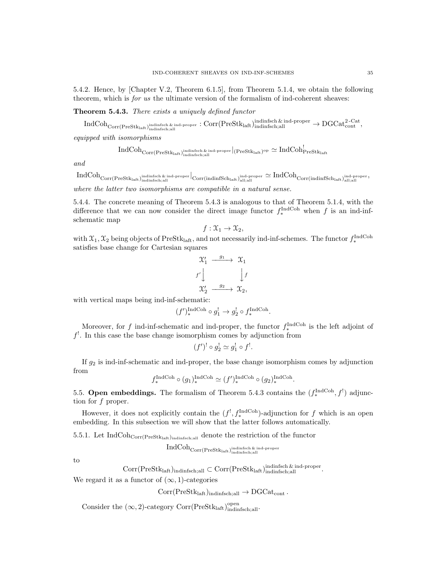5.4.2. Hence, by [Chapter V.2, Theorem 6.1.5], from Theorem 5.1.4, we obtain the following theorem, which is for us the ultimate version of the formalism of ind-coherent sheaves:

Theorem 5.4.3. There exists a uniquely defined functor

 $\mathrm{IndCoh}_{\mathrm{Corr}(\mathrm{PreStk}_{\mathrm{leaf}},\mathrm{indimfsch} ,\mathrm{all})} \mathrm{ind}_{\mathrm{proper}}: \mathrm{Corr}(\mathrm{PreStk}_{\mathrm{leaf}},\mathrm{indimfsch} ,\mathrm{all})$ indinfsch;all  $\rightarrow \mathrm{DGCat}_{\mathrm{cont}}^{\mathrm{2-Cat}},$ 

equipped with isomorphisms

$$
\mathrm{IndCoh}_{\mathrm{Corr}(\mathrm{PreStk}_{\mathrm{laff}})_{\mathrm{indinsch}, \mathrm{all}}^{\mathrm{indinsch}\,\&\,\mathrm{ind}\textrm{-proper}}\vert_{(\mathrm{PreStk}_{\mathrm{laff}})^\mathrm{op}}\simeq \mathrm{IndCoh}^!_{\mathrm{PreStk}_{\mathrm{laff}}}
$$

and

 ${\rm IndCoh}_{\rm Corr(PreStk_{laff},)_{\rm indinsch;all}}$  ,  $\frac{\rm ind\text{-}rsper}{\rm d}$  ,  $\rm cl_{\rm cor(indinfSch_{laff},)_{\rm all;all}}$  , and proper  $\simeq {\rm IndCoh}_{\rm Corr(indinfSch_{laff},)_{\rm all;all}}$  , and proper ,

where the latter two isomorphisms are compatible in a natural sense.

5.4.4. The concrete meaning of Theorem 5.4.3 is analogous to that of Theorem 5.1.4, with the difference that we can now consider the direct image functor  $f_*^{\text{IndCoh}}$  when f is an ind-infschematic map

$$
f: \mathfrak{X}_1 \to \mathfrak{X}_2,
$$

with  $\mathfrak{X}_1, \mathfrak{X}_2$  being objects of PreStk<sub>laft</sub>, and not necessarily ind-inf-schemes. The functor  $f_*^{\text{IndCoh}}$ satisfies base change for Cartesian squares

$$
\begin{array}{ccc}\n\mathfrak{X}'_1 & \xrightarrow{g_1} & \mathfrak{X}_1 \\
f' \downarrow & & \downarrow f \\
\mathfrak{X}'_2 & \xrightarrow{g_2} & \mathfrak{X}_2,\n\end{array}
$$

with vertical maps being ind-inf-schematic:

$$
(f')_*^{\text{IndCoh}} \circ g_1^! \to g_2^! \circ f_*^{\text{IndCoh}}.
$$

Moreover, for f ind-inf-schematic and ind-proper, the functor  $f_*^{\text{IndCoh}}$  is the left adjoint of  $f^!$ . In this case the base change isomorphism comes by adjunction from

$$
(f')^! \circ g_2^! \simeq g_1^! \circ f^!.
$$

If  $g_2$  is ind-inf-schematic and ind-proper, the base change isomorphism comes by adjunction from

$$
f_*^{\text{IndCoh}} \circ (g_1)_*^{\text{IndCoh}} \simeq (f')_*^{\text{IndCoh}} \circ (g_2)_*^{\text{IndCoh}}.
$$

5.5. **Open embeddings.** The formalism of Theorem 5.4.3 contains the  $(f_*^{\text{IndCoh}}, f^!)$  adjunction for f proper.

However, it does not explicitly contain the  $(f^!, f_*^{\text{IndCoh}})$ -adjunction for f which is an open embedding. In this subsection we will show that the latter follows automatically.

5.5.1. Let IndCoh $_{Corr(Prestk<sub>laff</sub>)<sub>indinfsch;all</sub>}$  denote the restriction of the functor

 $\operatorname{IndCoh}_{{\rm Corr}({\rm Prefk}_{\rm laft})_{\rm indinfsch;all}}$ 

to

 $\text{Corr}(\text{PreStk}_{\text{laff}})_{\text{indinfsch,all}} \subset \text{Corr}(\text{PreStk}_{\text{laff}})_{\text{indinfsch,all}}^{\text{indinfsch & \text{ind}}_{\text{per}}}.$ 

We regard it as a functor of  $(\infty, 1)$ -categories

 $Corr(PreStk<sub>laff</sub>)<sub>indinfsch;all</sub> \rightarrow DGCat<sub>cont</sub>$ .

Consider the  $(\infty, 2)$ -category Corr $(PreStk<sub>laff</sub>)_{indinfsch;all}^{open}$ .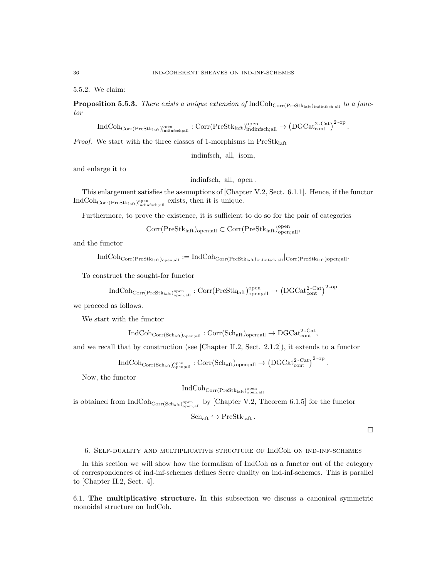5.5.2. We claim:

**Proposition 5.5.3.** There exists a unique extension of  $IndCoh_{Corr(Prestk<sub>laff</sub>)<sub>indinfsch,<sub>all</sub>}</sub>$  to a functor

 $\mathrm{IndCoh}_{\mathrm{Corr}(\mathrm{PreStk}_{\mathrm{laft}})_{\mathrm{indimfsch};\mathrm{all}}^{\mathrm{open}}} : \mathrm{Corr}(\mathrm{PreStk}_{\mathrm{laft}})_{\mathrm{indimfsch};\mathrm{all}}^{\mathrm{open}} \to \left( \mathrm{DGCat}_{\mathrm{cont}}^{2\text{-Cat}} \right)^{2\text{-op}}.$ 

*Proof.* We start with the three classes of 1-morphisms in  $PreStk<sub>laff</sub>$ 

indinfsch, all, isom,

and enlarge it to

indinfsch, all, open .

This enlargement satisfies the assumptions of [Chapter V.2, Sect. 6.1.1]. Hence, if the functor  $\text{IndCoh}_{\text{Corr}(\text{PreStk}_{\text{laff}})_{\text{indinfsch;all}}^{\text{open}}}$  exists, then it is unique.

Furthermore, to prove the existence, it is sufficient to do so for the pair of categories

 $\text{Corr}(\text{PreStk}_{\text{laff}})_{\text{open};\text{all}}\subset \text{Corr}(\text{PreStk}_{\text{laff}})_{\text{open};\text{all}}^{\text{open}},$ 

and the functor

 $\rm IndCoh_{Corr(Prestk_{\mathrm{laff}})_{\mathrm{open;all}}} := \rm IndCoh_{Corr(Prestk_{\mathrm{laff}})_{\mathrm{indimfsch;all}}} \vert_{Corr(Prestk_{\mathrm{laff}})_{\mathrm{open;all}}}.$ 

To construct the sought-for functor

$$
\rm IndCoh_{Corr(PreStk_{laft})_{\rm open;all}}^{\rm open}: \rm Corr(PreStk_{laft})_{\rm open;all}^{\rm open} \rightarrow \left( \rm DGCat_{\rm cont}^{2-Cat} \right)^{2-\rm op}
$$

we proceed as follows.

We start with the functor

$$
\mathrm{IndCoh}_{\mathrm{Corr}(\mathrm{Sch}_{\mathrm{aff}})_{\mathrm{open};\mathrm{all}}}: \mathrm{Corr}(\mathrm{Sch}_{\mathrm{aff}})_{\mathrm{open};\mathrm{all}}\rightarrow \mathrm{DGCat}_{\mathrm{cont}}^{2\text{-Cat}},
$$

and we recall that by construction (see [Chapter II.2, Sect. 2.1.2]), it extends to a functor

 $\mathrm{IndCoh}_{\mathrm{Corr}(\mathrm{Sch}_\mathrm{aff})_{\mathrm{open};\mathrm{all}}^{\mathrm{open}}} : \mathrm{Corr}(\mathrm{Sch}_\mathrm{aff})_{\mathrm{open};\mathrm{all}} \rightarrow \left( \mathrm{DGCat}_{\mathrm{cont}}^{2\text{-}\mathrm{Cat}} \right)^{2\text{-}\mathrm{op}}.$ 

Now, the functor

 $\operatorname{IndCoh}_{\text{Corr}(\text{PreStk}_\text{laft})^\text{open}_\text{open,all}}$ 

is obtained from  $IndCoh_{Corr(Sch_{aff})_{open;all}}$  by [Chapter V.2, Theorem 6.1.5] for the functor

$$
\mathrm{Sch}_{\mathrm{aft}}\hookrightarrow \mathrm{PreStk}_{\mathrm{laft}}\,.
$$

 $\Box$ 

6. Self-duality and multiplicative structure of IndCoh on ind-inf-schemes

In this section we will show how the formalism of IndCoh as a functor out of the category of correspondences of ind-inf-schemes defines Serre duality on ind-inf-schemes. This is parallel to [Chapter II.2, Sect. 4].

6.1. The multiplicative structure. In this subsection we discuss a canonical symmetric monoidal structure on IndCoh.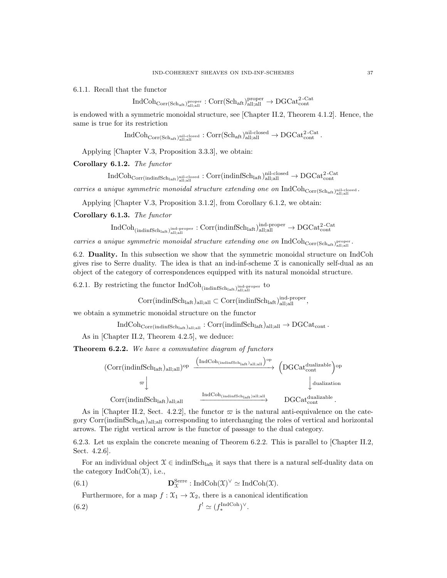6.1.1. Recall that the functor

$$
\mathrm{IndCoh}_{\mathrm{Corr}(\mathrm{Sch}_{\mathrm{aff}})_{\mathrm{all};\mathrm{all}}} \colon \mathrm{Corr}(\mathrm{Sch}_{\mathrm{aff}})_{\mathrm{all};\mathrm{all}}^{\mathrm{proper}} \to \mathrm{DGCat}_{\mathrm{cont}}^{2\text{-}\mathrm{Cat}}
$$

is endowed with a symmetric monoidal structure, see [Chapter II.2, Theorem 4.1.2]. Hence, the same is true for its restriction

 $\mathrm{IndCoh}_{\mathrm{Corr}(\mathrm{Sch}_{\mathrm{aff}},\mathrm{l}_{\mathrm{all};\mathrm{all}}^{\mathrm{nil-closed}})}:\mathrm{Corr}(\mathrm{Sch}_{\mathrm{aff}},\mathrm{l}_{\mathrm{all};\mathrm{all}}^{\mathrm{nil-closed}}\to \mathrm{DGCat}_{\mathrm{cont}}^{\mathrm{2-Cat}}.$ 

Applying [Chapter V.3, Proposition 3.3.3], we obtain:

Corollary 6.1.2. The functor

 $\rm IndCoh_{Corr (indinfSch_{laft})<sub>all;all</sub><sub>all;all</sub>:  $\rm Corr (indinfSch_{laft})<sub>all;all</sub><sub>all;all</sub> \rightarrow \rm DGCat_{cont}^{2-Cat}$$ 

carries a unique symmetric monoidal structure extending one on  $\rm IndCoh_{Corr(Sch_{aff})}^{nil:closed}$ .

Applying [Chapter V.3, Proposition 3.1.2], from Corollary 6.1.2, we obtain:

Corollary 6.1.3. The functor

$$
\rm IndCoh_{(indinfSch_{laff})_{all;all}}^{\rm ind\text{-}proper}: \rm Corr (indinfSch_{laff})_{all;all}^{ind\text{-}proper} \rightarrow \rm DGCat_{cont}^{2\text{-}Cat}
$$

carries a unique symmetric monoidal structure extending one on  $\text{IndCoh}_{\text{Corr}(Sch_{aff})_{all;all}}$ .

6.2. Duality. In this subsection we show that the symmetric monoidal structure on IndCoh gives rise to Serre duality. The idea is that an ind-inf-scheme  $\mathfrak X$  is canonically self-dual as an object of the category of correspondences equipped with its natural monoidal structure.

6.2.1. By restricting the functor  $\mathrm{IndCoh}_{(\mathrm{indinfSch}_{\mathrm{laff}}, )\mathrm{all}_{\mathrm{all}}, \mathrm{all}}$ 

 $\text{Corr}(\text{indinfSch}_{\text{latt}})_{\text{all;all}} \subset \text{Corr}(\text{indinfSch}_{\text{laff}})_{\text{all;all}}^{\text{ind-proper}},$ 

we obtain a symmetric monoidal structure on the functor

 $IndCoh_{Corr(indinfSch<sub>latt</sub>)<sub>alt:all</sub>} : Corr(indinfSch<sub>latt</sub>)<sub>all;all</sub> \rightarrow DGCat_{cont}.$ 

As in [Chapter II.2, Theorem 4.2.5], we deduce:

Theorem 6.2.2. We have a commutative diagram of functors



As in [Chapter II.2, Sect. 4.2.2], the functor  $\varpi$  is the natural anti-equivalence on the category Corr(indinfSch<sub>laft</sub>)<sub>all;all</sub> corresponding to interchanging the roles of vertical and horizontal arrows. The right vertical arrow is the functor of passage to the dual category.

6.2.3. Let us explain the concrete meaning of Theorem 6.2.2. This is parallel to [Chapter II.2, Sect. 4.2.6].

For an individual object  $\mathcal{X} \in \text{indinfSch}_{\text{laff.}}$  it says that there is a natural self-duality data on the category  $\text{IndCoh}(\mathfrak{X})$ , i.e.,

(6.1) 
$$
\mathbf{D}_{\mathfrak{X}}^{\text{Serre}}: \text{IndCoh}(\mathfrak{X})^{\vee} \simeq \text{IndCoh}(\mathfrak{X}).
$$

Furthermore, for a map  $f: \mathfrak{X}_1 \to \mathfrak{X}_2$ , there is a canonical identification

$$
(6.2)\t\t\t\t f' \simeq (f_*^{\text{IndCoh}})^\vee.
$$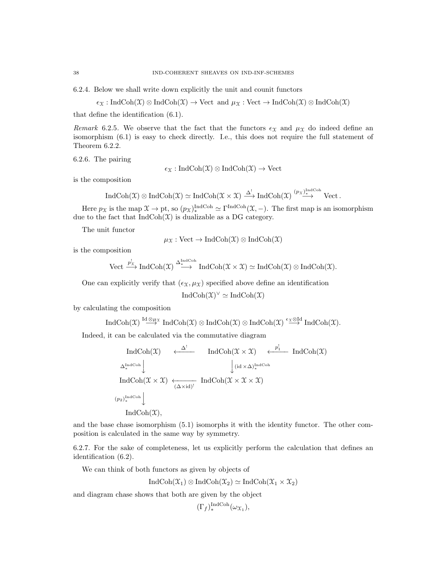6.2.4. Below we shall write down explicitly the unit and counit functors

$$
\epsilon_{\mathfrak{X}} : \text{IndCoh}(\mathfrak{X}) \otimes \text{IndCoh}(\mathfrak{X}) \to \text{Vect} \text{ and } \mu_{\mathfrak{X}} : \text{Vect} \to \text{IndCoh}(\mathfrak{X}) \otimes \text{IndCoh}(\mathfrak{X})
$$

that define the identification (6.1).

Remark 6.2.5. We observe that the fact that the functors  $\epsilon_X$  and  $\mu_X$  do indeed define an isomorphism (6.1) is easy to check directly. I.e., this does not require the full statement of Theorem 6.2.2.

6.2.6. The pairing

$$
\epsilon_{\mathfrak{X}}: \mathrm{IndCoh}(\mathfrak{X}) \otimes \mathrm{IndCoh}(\mathfrak{X}) \to \mathrm{Vect}
$$

is the composition

$$
\operatorname{IndCoh}(\mathfrak X) \otimes \operatorname{IndCoh}(\mathfrak X) \simeq \operatorname{IndCoh}(\mathfrak X \times \mathfrak X) \xrightarrow{\Delta^!} \operatorname{IndCoh}(\mathfrak X) \xrightarrow{(p_{\mathfrak X})^{\operatorname{IndCoh}}_{\ast}} \operatorname{Vect}.
$$

Here  $p_{\mathfrak{X}}$  is the map  $\mathfrak{X} \to \text{pt}$ , so  $(p_{\mathfrak{X}})_*^{\text{IndCoh}} \simeq \Gamma^{\text{IndCoh}}(\mathfrak{X}, -)$ . The first map is an isomorphism due to the fact that  $IndCoh(\mathfrak{X})$  is dualizable as a DG category.

The unit functor

$$
\mu_{\mathfrak{X}} : \mathrm{Vect} \to \mathrm{IndCoh}(\mathfrak{X}) \otimes \mathrm{IndCoh}(\mathfrak{X})
$$

is the composition

Vect 
$$
\xrightarrow{p'_\mathfrak{X}}
$$
 IndCoh $(\mathfrak{X}) \xrightarrow{\Delta_{\mathfrak{X}}^{\mathrm{IndCoh}}} \mathrm{IndCoh}(\mathfrak{X} \times \mathfrak{X}) \simeq \mathrm{IndCoh}(\mathfrak{X}) \otimes \mathrm{IndCoh}(\mathfrak{X}).$ 

One can explicitly verify that  $(\epsilon_X, \mu_X)$  specified above define an identification

$$
IndCoh(\mathfrak{X})^{\vee} \simeq IndCoh(\mathfrak{X})
$$

by calculating the composition

$$
\operatorname{IndCoh}(\mathfrak{X}) \stackrel{\operatorname{Id} \otimes \mu_{\mathfrak{X}}}{\longrightarrow} \operatorname{IndCoh}(\mathfrak{X}) \otimes \operatorname{IndCoh}(\mathfrak{X}) \otimes \operatorname{IndCoh}(\mathfrak{X}) \stackrel{\epsilon_{\mathfrak{X}} \otimes \operatorname{Id}}{\longrightarrow} \operatorname{IndCoh}(\mathfrak{X}).
$$

Indeed, it can be calculated via the commutative diagram

$$
\operatorname{IndCoh}(\mathfrak{X}) \xleftarrow{\Delta^{!}} \operatorname{IndCoh}(\mathfrak{X} \times \mathfrak{X}) \xleftarrow{\mathcal{P}^{!}_{1}} \operatorname{IndCoh}(\mathfrak{X})
$$
\n
$$
\Delta^{IndCoh}_{*} \downarrow \qquad \qquad \downarrow (\operatorname{id} \times \Delta)^{IndCoh}_{*}
$$
\n
$$
\operatorname{IndCoh}(\mathfrak{X} \times \mathfrak{X}) \xleftarrow{\leftarrow} \operatorname{IndCoh}(\mathfrak{X} \times \mathfrak{X} \times \mathfrak{X})
$$
\n
$$
\left(\begin{matrix} p_{2}\end{matrix}\right)^{IndCoh}_{*} \downarrow \qquad \operatorname{IndCoh}(\mathfrak{X}),
$$

and the base chase isomorphism (5.1) isomorphs it with the identity functor. The other composition is calculated in the same way by symmetry.

6.2.7. For the sake of completeness, let us explicitly perform the calculation that defines an identification (6.2).

We can think of both functors as given by objects of

$$
IndCoh(\mathfrak{X}_1) \otimes IndCoh(\mathfrak{X}_2) \simeq IndCoh(\mathfrak{X}_1 \times \mathfrak{X}_2)
$$

and diagram chase shows that both are given by the object

$$
(\Gamma_f)_{*}^{\text{IndCoh}}(\omega_{\mathfrak{X}_1}),
$$